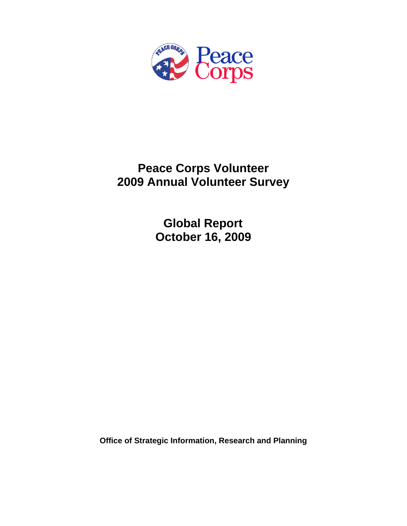

# **Peace Corps Volunteer 2009 Annual Volunteer Survey**

 **Global Report October 16, 2009** 

**Office of Strategic Information, Research and Planning**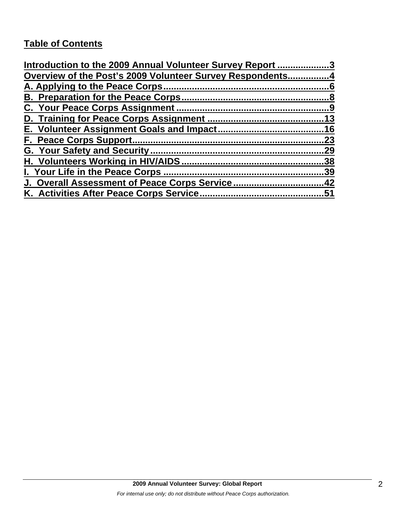# **Table of Contents**

| Introduction to the 2009 Annual Volunteer Survey Report 3 |     |
|-----------------------------------------------------------|-----|
| Overview of the Post's 2009 Volunteer Survey Respondents4 |     |
|                                                           |     |
|                                                           |     |
|                                                           |     |
|                                                           |     |
|                                                           |     |
|                                                           | 23  |
|                                                           | .29 |
|                                                           | .38 |
| I. Your Life in the Peace Corps.                          | .39 |
| <u>J. Overall Assessment of Peace Corps Service42</u>     |     |
|                                                           | 51  |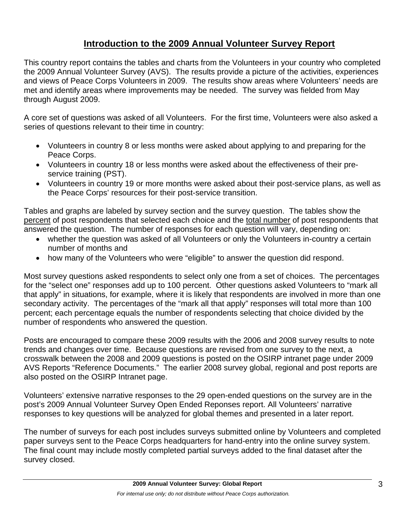# **Introduction to the 2009 Annual Volunteer Survey Report**

This country report contains the tables and charts from the Volunteers in your country who completed the 2009 Annual Volunteer Survey (AVS). The results provide a picture of the activities, experiences and views of Peace Corps Volunteers in 2009. The results show areas where Volunteers' needs are met and identify areas where improvements may be needed. The survey was fielded from May through August 2009.

A core set of questions was asked of all Volunteers. For the first time, Volunteers were also asked a series of questions relevant to their time in country:

- Volunteers in country 8 or less months were asked about applying to and preparing for the Peace Corps.
- Volunteers in country 18 or less months were asked about the effectiveness of their preservice training (PST).
- Volunteers in country 19 or more months were asked about their post-service plans, as well as the Peace Corps' resources for their post-service transition.

Tables and graphs are labeled by survey section and the survey question. The tables show the percent of post respondents that selected each choice and the total number of post respondents that answered the question. The number of responses for each question will vary, depending on:

- whether the question was asked of all Volunteers or only the Volunteers in-country a certain number of months and
- how many of the Volunteers who were "eligible" to answer the question did respond.

Most survey questions asked respondents to select only one from a set of choices. The percentages for the "select one" responses add up to 100 percent. Other questions asked Volunteers to "mark all that apply" in situations, for example, where it is likely that respondents are involved in more than one secondary activity. The percentages of the "mark all that apply" responses will total more than 100 percent; each percentage equals the number of respondents selecting that choice divided by the number of respondents who answered the question.

Posts are encouraged to compare these 2009 results with the 2006 and 2008 survey results to note trends and changes over time. Because questions are revised from one survey to the next, a crosswalk between the 2008 and 2009 questions is posted on the OSIRP intranet page under 2009 AVS Reports "Reference Documents." The earlier 2008 survey global, regional and post reports are also posted on the OSIRP Intranet page.

Volunteers' extensive narrative responses to the 29 open-ended questions on the survey are in the post's 2009 Annual Volunteer Survey Open Ended Reponses report. All Volunteers' narrative responses to key questions will be analyzed for global themes and presented in a later report.

The number of surveys for each post includes surveys submitted online by Volunteers and completed paper surveys sent to the Peace Corps headquarters for hand-entry into the online survey system. The final count may include mostly completed partial surveys added to the final dataset after the survey closed.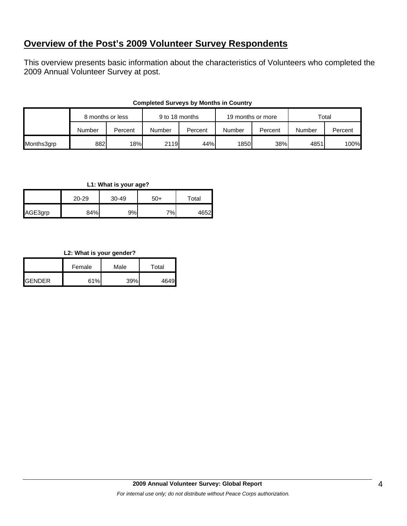# **Overview of the Post's 2009 Volunteer Survey Respondents**

This overview presents basic information about the characteristics of Volunteers who completed the 2009 Annual Volunteer Survey at post.

|            | 8 months or less |         | 9 to 18 months |         | 19 months or more |         | Total  |         |
|------------|------------------|---------|----------------|---------|-------------------|---------|--------|---------|
|            | Number           | Percent | Number         | Percent | Number            | Percent | Number | Percent |
| Months3grp | 882              | 18%     | 2119           | 44%     | 1850              | 38%     | 4851   | 100%    |

### **Completed Surveys by Months in Country**

### **L1: What is your age?**

|         | $20 - 29$ | 30-49 | $50+$ | Total |
|---------|-----------|-------|-------|-------|
| AGE3grp | 84%       | 9%    | 7%    | 4652  |

## **L2: What is your gender?**

|                | Female | Male | Total |  |
|----------------|--------|------|-------|--|
| <b>IGENDER</b> | 61%    | 39%  | 4649  |  |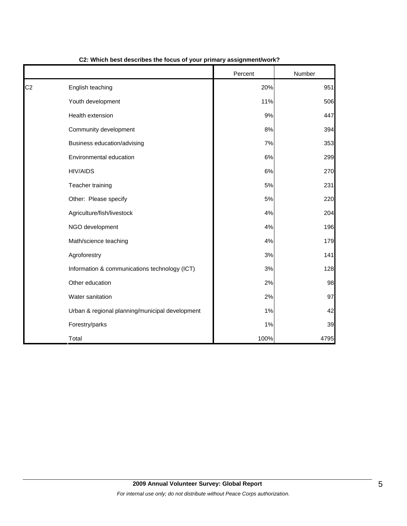|                |                                                 | Percent | Number |
|----------------|-------------------------------------------------|---------|--------|
| C <sub>2</sub> | English teaching                                | 20%     | 951    |
|                | Youth development                               | 11%     | 506    |
|                | Health extension                                | 9%      | 447    |
|                | Community development                           | 8%      | 394    |
|                | Business education/advising                     | 7%      | 353    |
|                | Environmental education                         | 6%      | 299    |
|                | <b>HIV/AIDS</b>                                 | 6%      | 270    |
|                | Teacher training                                | 5%      | 231    |
|                | Other: Please specify                           | 5%      | 220    |
|                | Agriculture/fish/livestock                      | 4%      | 204    |
|                | NGO development                                 | 4%      | 196    |
|                | Math/science teaching                           | 4%      | 179    |
|                | Agroforestry                                    | 3%      | 141    |
|                | Information & communications technology (ICT)   | 3%      | 128    |
|                | Other education                                 | 2%      | 98     |
|                | Water sanitation                                | 2%      | 97     |
|                | Urban & regional planning/municipal development | 1%      | 42     |
|                | Forestry/parks                                  | 1%      | 39     |
|                | Total                                           | 100%    | 4795   |

### **C2: Which best describes the focus of your primary assignment/work?**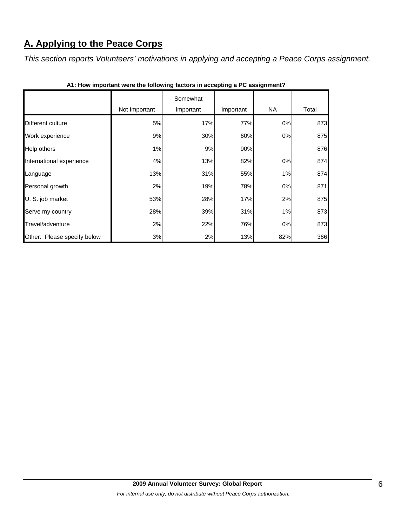# **A. Applying to the Peace Corps**

*This section reports Volunteers' motivations in applying and accepting a Peace Corps assignment.* 

|                             | Not Important | Somewhat<br>important | Important | <b>NA</b> | Total |
|-----------------------------|---------------|-----------------------|-----------|-----------|-------|
|                             |               |                       |           |           |       |
| Different culture           | 5%            | 17%                   | 77%       | 0%        | 873   |
| Work experience             | 9%            | 30%                   | 60%       | 0%        | 875   |
| Help others                 | 1%            | 9%                    | 90%       |           | 876   |
| International experience    | 4%            | 13%                   | 82%       | 0%        | 874   |
| Language                    | 13%           | 31%                   | 55%       | 1%        | 874   |
| Personal growth             | 2%            | 19%                   | 78%       | 0%        | 871   |
| U. S. job market            | 53%           | 28%                   | 17%       | 2%        | 875   |
| Serve my country            | 28%           | 39%                   | 31%       | 1%        | 873   |
| Travel/adventure            | 2%            | 22%                   | 76%       | 0%        | 873   |
| Other: Please specify below | 3%            | 2%                    | 13%       | 82%       | 366   |

**A1: How important were the following factors in accepting a PC assignment?**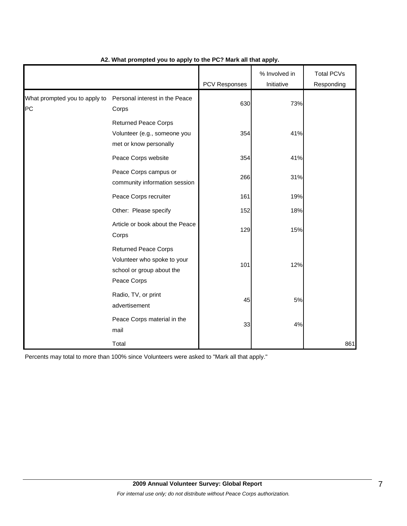|                                     |                                                                                                        | <b>PCV Responses</b> | % Involved in<br>Initiative | <b>Total PCVs</b><br>Responding |
|-------------------------------------|--------------------------------------------------------------------------------------------------------|----------------------|-----------------------------|---------------------------------|
| What prompted you to apply to<br>PC | Personal interest in the Peace<br>Corps                                                                | 630                  | 73%                         |                                 |
|                                     | <b>Returned Peace Corps</b><br>Volunteer (e.g., someone you<br>met or know personally                  | 354                  | 41%                         |                                 |
|                                     | Peace Corps website                                                                                    | 354                  | 41%                         |                                 |
|                                     | Peace Corps campus or<br>community information session                                                 | 266                  | 31%                         |                                 |
|                                     | Peace Corps recruiter                                                                                  | 161                  | 19%                         |                                 |
|                                     | Other: Please specify                                                                                  | 152                  | 18%                         |                                 |
|                                     | Article or book about the Peace<br>Corps                                                               | 129                  | 15%                         |                                 |
|                                     | <b>Returned Peace Corps</b><br>Volunteer who spoke to your<br>school or group about the<br>Peace Corps | 101                  | 12%                         |                                 |
|                                     | Radio, TV, or print<br>advertisement                                                                   | 45                   | 5%                          |                                 |
|                                     | Peace Corps material in the<br>mail                                                                    | 33                   | 4%                          |                                 |
|                                     | Total                                                                                                  |                      |                             | 861                             |

# **A2. What prompted you to apply to the PC? Mark all that apply.**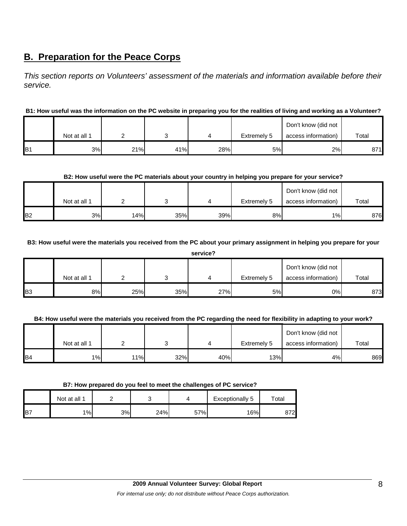# **B. Preparation for the Peace Corps**

*This section reports on Volunteers' assessment of the materials and information available before their service.* 

# **B1: How useful was the information on the PC website in preparing you for the realities of living and working as a Volunteer?**

|                 |              |     |     |     |             | Don't know (did not |       |
|-----------------|--------------|-----|-----|-----|-------------|---------------------|-------|
|                 | Not at all 1 |     |     |     | Extremely 5 | access information) | Total |
| IB <sub>1</sub> | 3%           | 21% | 41% | 28% | 5%          | 2%                  | 871   |

# **B2: How useful were the PC materials about your country in helping you prepare for your service?**

|                | Not at all 1 |     |     |     | Extremely 5 | Don't know (did not<br>access information) | Total |
|----------------|--------------|-----|-----|-----|-------------|--------------------------------------------|-------|
| B <sub>2</sub> | 3%           | 14% | 35% | 39% | 8%          | $1\%$                                      | 876   |

## **B3: How useful were the materials you received from the PC about your primary assignment in helping you prepare for your**

**service?**

|                |              |     |     |     |             | Don't know (did not |       |
|----------------|--------------|-----|-----|-----|-------------|---------------------|-------|
|                | Not at all 1 |     |     |     | Extremely 5 | access information) | Total |
| B <sub>3</sub> | 8%           | 25% | 35% | 27% | 5%          | 0%                  | 873   |

# **B4: How useful were the materials you received from the PC regarding the need for flexibility in adapting to your work?**

|                |              |     |     |     |             | Don't know (did not |       |
|----------------|--------------|-----|-----|-----|-------------|---------------------|-------|
|                | Not at all 1 |     |     |     | Extremely 5 | access information) | Total |
| B <sub>4</sub> | $1\%$        | 11% | 32% | 40% | 13%         | 4%                  | 869   |

#### **B7: How prepared do you feel to meet the challenges of PC service?**

|                 | Not at all 1 |    |     |     | Exceptionally 5 | $\mathop{\mathsf{Total}}$ |
|-----------------|--------------|----|-----|-----|-----------------|---------------------------|
| IB <sub>7</sub> | 1%           | 3% | 24% | 57% | 16%             | 872                       |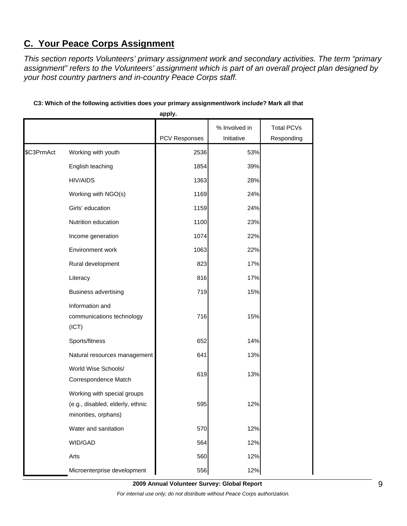# **C. Your Peace Corps Assignment**

*This section reports Volunteers' primary assignment work and secondary activities. The term "primary assignment" refers to the Volunteers' assignment which is part of an overall project plan designed by your host country partners and in-country Peace Corps staff.* 

|            |                                                                                         | apply.        |                             |                                 |
|------------|-----------------------------------------------------------------------------------------|---------------|-----------------------------|---------------------------------|
|            |                                                                                         | PCV Responses | % Involved in<br>Initiative | <b>Total PCVs</b><br>Responding |
| \$C3PrmAct | Working with youth                                                                      | 2536          | 53%                         |                                 |
|            | English teaching                                                                        | 1854          | 39%                         |                                 |
|            | <b>HIV/AIDS</b>                                                                         | 1363          | 28%                         |                                 |
|            | Working with NGO(s)                                                                     | 1169          | 24%                         |                                 |
|            | Girls' education                                                                        | 1159          | 24%                         |                                 |
|            | Nutrition education                                                                     | 1100          | 23%                         |                                 |
|            | Income generation                                                                       | 1074          | 22%                         |                                 |
|            | Environment work                                                                        | 1063          | 22%                         |                                 |
|            | Rural development                                                                       | 823           | 17%                         |                                 |
|            | Literacy                                                                                | 816           | 17%                         |                                 |
|            | <b>Business advertising</b>                                                             | 719           | 15%                         |                                 |
|            | Information and<br>communications technology<br>(ICT)                                   | 716           | 15%                         |                                 |
|            | Sports/fitness                                                                          | 652           | 14%                         |                                 |
|            | Natural resources management                                                            | 641           | 13%                         |                                 |
|            | World Wise Schools/<br>Correspondence Match                                             | 619           | 13%                         |                                 |
|            | Working with special groups<br>(e.g., disabled, elderly, ethnic<br>minorities, orphans) | 595           | 12%                         |                                 |
|            | Water and sanitation                                                                    | 570           | 12%                         |                                 |
|            | WID/GAD                                                                                 | 564           | 12%                         |                                 |
|            | Arts                                                                                    | 560           | 12%                         |                                 |
|            | Microenterprise development                                                             | 556           | 12%                         |                                 |

## **C3: Which of the following activities does your primary assignment/work include? Mark all that**

**2009 Annual Volunteer Survey: Global Report**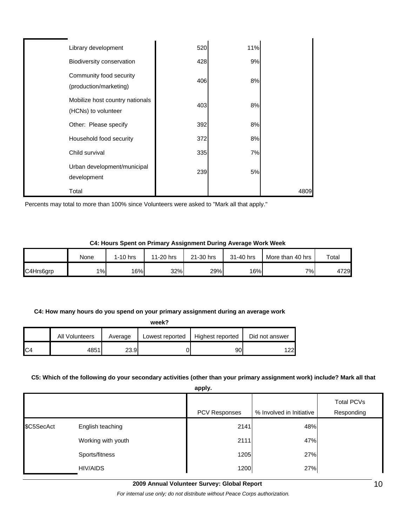| Library development                                    | 520 | 11% |      |
|--------------------------------------------------------|-----|-----|------|
| Biodiversity conservation                              | 428 | 9%  |      |
| Community food security<br>(production/marketing)      | 406 | 8%  |      |
| Mobilize host country nationals<br>(HCNs) to volunteer | 403 | 8%  |      |
| Other: Please specify                                  | 392 | 8%  |      |
| Household food security                                | 372 | 8%  |      |
| Child survival                                         | 335 | 7%  |      |
| Urban development/municipal<br>development             | 239 | 5%  |      |
| Total                                                  |     |     | 4809 |

Percents may total to more than 100% since Volunteers were asked to "Mark all that apply."

#### **C4: Hours Spent on Primary Assignment During Average Work Week**

|           | None | l-10 hrs | 11-20 hrs | 21-30 hrs | 31-40 hrs        | More than 40 hrs | Total |
|-----------|------|----------|-----------|-----------|------------------|------------------|-------|
| C4Hrs6grp | 1%   | 16%      | 32%       | 29%       | 16% <sub>I</sub> | 7%               | 4729  |

#### **C4: How many hours do you spend on your primary assignment during an average work**

| week?          |                |         |                 |                  |                |  |  |
|----------------|----------------|---------|-----------------|------------------|----------------|--|--|
|                | All Volunteers | Average | Lowest reported | Highest reported | Did not answer |  |  |
| C <sub>4</sub> | 4851           | 23.9    |                 | 90               | 22             |  |  |

#### **C5: Which of the following do your secondary activities (other than your primary assignment work) include? Mark all that**

**apply.**

|            |                    | uppiy.               |                          |                          |
|------------|--------------------|----------------------|--------------------------|--------------------------|
|            |                    | <b>PCV Responses</b> | % Involved in Initiative | Total PCVs<br>Responding |
| \$C5SecAct | English teaching   | 2141                 | 48%                      |                          |
|            | Working with youth | 2111                 | 47%                      |                          |
|            | Sports/fitness     | 1205                 | 27%                      |                          |
|            | HIV/AIDS           | 1200                 | 27%                      |                          |

**2009 Annual Volunteer Survey: Global Report** 

*For internal use only; do not distribute without Peace Corps authorization.*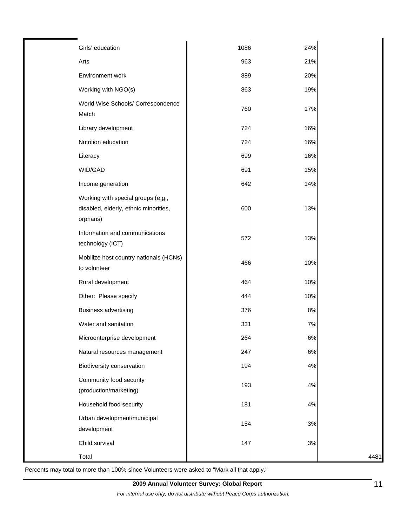| Girls' education                                                                        | 1086 | 24% |      |
|-----------------------------------------------------------------------------------------|------|-----|------|
| Arts                                                                                    | 963  | 21% |      |
| Environment work                                                                        | 889  | 20% |      |
| Working with NGO(s)                                                                     | 863  | 19% |      |
| World Wise Schools/ Correspondence<br>Match                                             | 760  | 17% |      |
| Library development                                                                     | 724  | 16% |      |
| Nutrition education                                                                     | 724  | 16% |      |
| Literacy                                                                                | 699  | 16% |      |
| WID/GAD                                                                                 | 691  | 15% |      |
| Income generation                                                                       | 642  | 14% |      |
| Working with special groups (e.g.,<br>disabled, elderly, ethnic minorities,<br>orphans) | 600  | 13% |      |
| Information and communications<br>technology (ICT)                                      | 572  | 13% |      |
| Mobilize host country nationals (HCNs)<br>to volunteer                                  | 466  | 10% |      |
| Rural development                                                                       | 464  | 10% |      |
| Other: Please specify                                                                   | 444  | 10% |      |
| <b>Business advertising</b>                                                             | 376  | 8%  |      |
| Water and sanitation                                                                    | 331  | 7%  |      |
| Microenterprise development                                                             | 264  | 6%  |      |
| Natural resources management                                                            | 247  | 6%  |      |
| Biodiversity conservation                                                               | 194  | 4%  |      |
| Community food security<br>(production/marketing)                                       | 193  | 4%  |      |
| Household food security                                                                 | 181  | 4%  |      |
| Urban development/municipal<br>development                                              | 154  | 3%  |      |
| Child survival                                                                          | 147  | 3%  |      |
| Total                                                                                   |      |     | 4481 |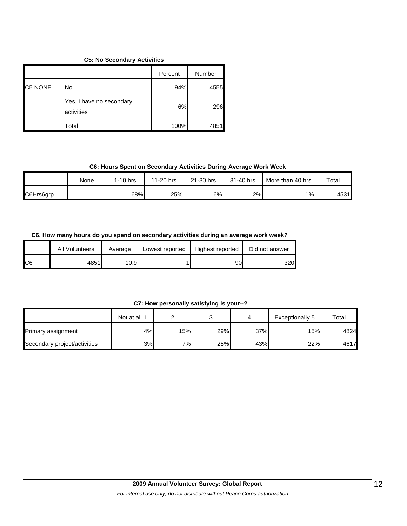## **C5: No Secondary Activities**

|         |                                        | Percent | Number |
|---------|----------------------------------------|---------|--------|
| C5.NONE | No                                     | 94%     | 4555   |
|         | Yes, I have no secondary<br>activities | 6%      | 296    |
|         | Total                                  | 100%    | 4851   |

### **C6: Hours Spent on Secondary Activities During Average Work Week**

|           | None | 1-10 hrs | 11-20 hrs | 21-30 hrs | 31-40 hrs | More than 40 hrs | Total |
|-----------|------|----------|-----------|-----------|-----------|------------------|-------|
| C6Hrs6grp |      | 68%      | 25%       | 6%l       | 2%        | 1%               | 4531  |

### **C6. How many hours do you spend on secondary activities during an average work week?**

|     | All Volunteers | Average | Lowest reported | Highest reported | Did not answer |
|-----|----------------|---------|-----------------|------------------|----------------|
| IC6 | 4851l          | 10.9    |                 | 90               | 320            |

## **C7: How personally satisfying is your--?**

|                              | Not at all 1 |     |     |     | Exceptionally 5 | Total |
|------------------------------|--------------|-----|-----|-----|-----------------|-------|
| <b>Primary assignment</b>    | 4%           | 15% | 29% | 37% | 15%             | 4824  |
| Secondary project/activities | 3%           | 7%  | 25% | 43% | 22%             | 4617  |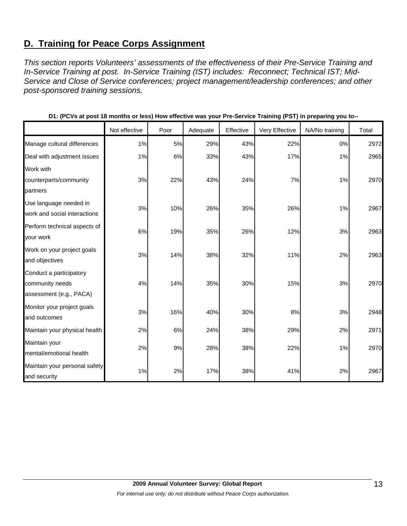# **D. Training for Peace Corps Assignment**

*This section reports Volunteers' assessments of the effectiveness of their Pre-Service Training and In-Service Training at post. In-Service Training (IST) includes: Reconnect; Technical IST; Mid-Service and Close of Service conferences; project management/leadership conferences; and other post-sponsored training sessions.* 

|                                                                       | Not effective | Poor | Adequate | Effective | Very Effective | NA/No training | Total |
|-----------------------------------------------------------------------|---------------|------|----------|-----------|----------------|----------------|-------|
| Manage cultural differences                                           | 1%            | 5%   | 29%      | 43%       | 22%            | 0%             | 2972  |
| Deal with adjustment issues                                           | 1%            | 6%   | 33%      | 43%       | 17%            | 1%             | 2965  |
| Work with<br>counterparts/community<br>partners                       | 3%            | 22%  | 43%      | 24%       | 7%             | 1%             | 2970  |
| Use language needed in<br>work and social interactions                | 3%            | 10%  | 26%      | 35%       | 26%            | 1%             | 2967  |
| Perform technical aspects of<br>your work                             | 6%            | 19%  | 35%      | 26%       | 12%            | 3%             | 2963  |
| Work on your project goals<br>and objectives                          | 3%            | 14%  | 38%      | 32%       | 11%            | 2%             | 2963  |
| Conduct a participatory<br>community needs<br>assessment (e.g., PACA) | 4%            | 14%  | 35%      | 30%       | 15%            | 3%             | 2970  |
| Monitor your project goals<br>and outcomes                            | 3%            | 16%  | 40%      | 30%       | 8%             | 3%             | 2948  |
| Maintain your physical health                                         | 2%            | 6%   | 24%      | 38%       | 29%            | 2%             | 2971  |
| Maintain your<br>mental/emotional health                              | 2%            | 9%   | 28%      | 38%       | 22%            | 1%             | 2970  |
| Maintain your personal safety<br>and security                         | 1%            | 2%   | 17%      | 38%       | 41%            | 2%             | 2967  |

|  |  |  | D1: (PCVs at post 18 months or less) How effective was your Pre-Service Training (PST) in preparing you to-- |
|--|--|--|--------------------------------------------------------------------------------------------------------------|
|--|--|--|--------------------------------------------------------------------------------------------------------------|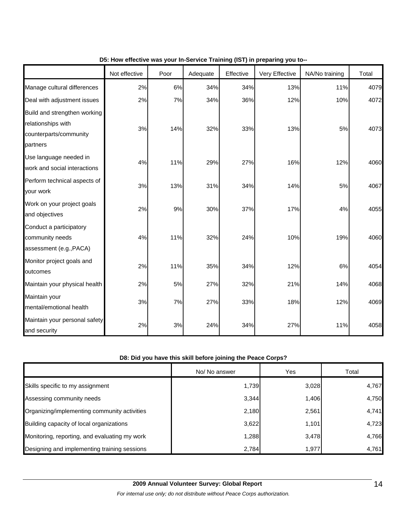|                                                                                          | Not effective | Poor | Adequate | Effective | Very Effective | NA/No training | Total |
|------------------------------------------------------------------------------------------|---------------|------|----------|-----------|----------------|----------------|-------|
| Manage cultural differences                                                              | 2%            | 6%   | 34%      | 34%       | 13%            | 11%            | 4079  |
| Deal with adjustment issues                                                              | 2%            | 7%   | 34%      | 36%       | 12%            | 10%            | 4072  |
| Build and strengthen working<br>relationships with<br>counterparts/community<br>partners | 3%            | 14%  | 32%      | 33%       | 13%            | 5%             | 4073  |
| Use language needed in<br>work and social interactions                                   | 4%            | 11%  | 29%      | 27%       | 16%            | 12%            | 4060  |
| Perform technical aspects of<br>your work                                                | 3%            | 13%  | 31%      | 34%       | 14%            | 5%             | 4067  |
| Work on your project goals<br>and objectives                                             | 2%            | 9%   | 30%      | 37%       | 17%            | 4%             | 4055  |
| Conduct a participatory<br>community needs<br>assessment (e.g., PACA)                    | 4%            | 11%  | 32%      | 24%       | 10%            | 19%            | 4060  |
| Monitor project goals and<br>outcomes                                                    | 2%            | 11%  | 35%      | 34%       | 12%            | 6%             | 4054  |
| Maintain your physical health                                                            | 2%            | 5%   | 27%      | 32%       | 21%            | 14%            | 4068  |
| Maintain your<br>mental/emotional health                                                 | 3%            | 7%   | 27%      | 33%       | 18%            | 12%            | 4069  |
| Maintain your personal safety<br>and security                                            | 2%            | 3%   | 24%      | 34%       | 27%            | 11%            | 4058  |

# **D5: How effective was your In-Service Training (IST) in preparing you to--**

# **D8: Did you have this skill before joining the Peace Corps?**

|                                               | No/ No answer | Yes   | Total |
|-----------------------------------------------|---------------|-------|-------|
| Skills specific to my assignment              | 1,739         | 3,028 | 4,767 |
| Assessing community needs                     | 3,344         | 1,406 | 4,750 |
| Organizing/implementing community activities  | 2,180         | 2,561 | 4,741 |
| Building capacity of local organizations      | 3,622         | 1,101 | 4,723 |
| Monitoring, reporting, and evaluating my work | 1,288         | 3,478 | 4,766 |
| Designing and implementing training sessions  | 2,784         | 1,977 | 4,761 |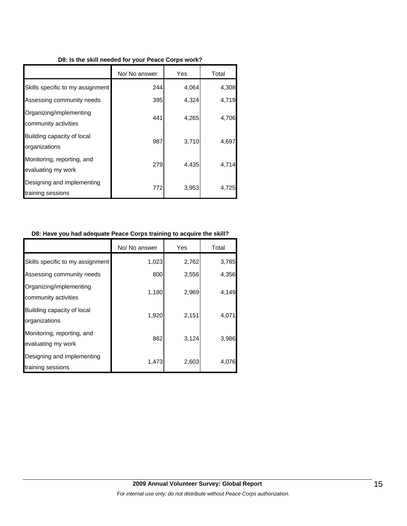|                                                  | No/ No answer | Yes   | Total |
|--------------------------------------------------|---------------|-------|-------|
| Skills specific to my assignment                 | 244           | 4,064 | 4,308 |
| Assessing community needs                        | 395           | 4,324 | 4,719 |
| Organizing/implementing<br>community activities  | 441           | 4,265 | 4,706 |
| Building capacity of local<br>organizations      | 987           | 3,710 | 4,697 |
| Monitoring, reporting, and<br>evaluating my work | 279           | 4,435 | 4,714 |
| Designing and implementing<br>training sessions  | 772           | 3,953 | 4.725 |

# **D8: Have you had adequate Peace Corps training to acquire the skill?**

|                                                  | No/ No answer | Yes   | Total |
|--------------------------------------------------|---------------|-------|-------|
| Skills specific to my assignment                 | 1,023         | 2,762 | 3,785 |
| Assessing community needs                        | 800           | 3,556 | 4,356 |
| Organizing/implementing<br>community activities  | 1,180         | 2,969 | 4,149 |
| Building capacity of local<br>organizations      | 1,920         | 2,151 | 4,071 |
| Monitoring, reporting, and<br>evaluating my work | 862           | 3,124 | 3,986 |
| Designing and implementing<br>training sessions  | 1,473         | 2,603 | 4,076 |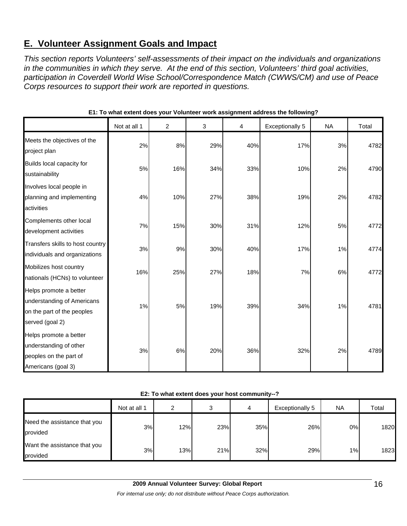# **E. Volunteer Assignment Goals and Impact**

*This section reports Volunteers' self-assessments of their impact on the individuals and organizations in the communities in which they serve. At the end of this section, Volunteers' third goal activities, participation in Coverdell World Wise School/Correspondence Match (CWWS/CM) and use of Peace Corps resources to support their work are reported in questions.* 

|                                                                                                       | Not at all 1 | $\overline{c}$ | 3   | 4   | <b>Exceptionally 5</b> | <b>NA</b> | Total |
|-------------------------------------------------------------------------------------------------------|--------------|----------------|-----|-----|------------------------|-----------|-------|
| Meets the objectives of the<br>project plan                                                           | 2%           | 8%             | 29% | 40% | 17%                    | 3%        | 4782  |
| Builds local capacity for<br>sustainability                                                           | 5%           | 16%            | 34% | 33% | 10%                    | 2%        | 4790  |
| Involves local people in<br>planning and implementing<br>activities                                   | 4%           | 10%            | 27% | 38% | 19%                    | 2%        | 4782  |
| Complements other local<br>development activities                                                     | 7%           | 15%            | 30% | 31% | 12%                    | 5%        | 4772  |
| Transfers skills to host country<br>individuals and organizations                                     | 3%           | 9%             | 30% | 40% | 17%                    | 1%        | 4774  |
| Mobilizes host country<br>nationals (HCNs) to volunteer                                               | 16%          | 25%            | 27% | 18% | 7%                     | 6%        | 4772  |
| Helps promote a better<br>understanding of Americans<br>on the part of the peoples<br>served (goal 2) | 1%           | 5%             | 19% | 39% | 34%                    | 1%        | 4781  |
| Helps promote a better<br>understanding of other<br>peoples on the part of<br>Americans (goal 3)      | 3%           | 6%             | 20% | 36% | 32%                    | 2%        | 4789  |

**E1: To what extent does your Volunteer work assignment address the following?**

#### **E2: To what extent does your host community--?**

|                                          | Not at all 1 | ົ   | ◠<br>٠J | 4   | Exceptionally 5 | <b>NA</b> | Total |
|------------------------------------------|--------------|-----|---------|-----|-----------------|-----------|-------|
| Need the assistance that you<br>provided | 3%           | 12% | 23%     | 35% | 26%             | 0%        | 1820  |
| Want the assistance that you<br>provided | 3%           | 13% | 21%     | 32% | 29%             | 1%        | 1823  |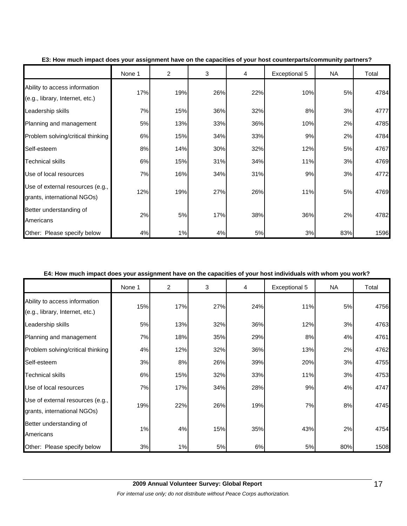|                                                                  | None 1 | $\overline{2}$ | 3   | 4   | Exceptional 5 | <b>NA</b> | Total |
|------------------------------------------------------------------|--------|----------------|-----|-----|---------------|-----------|-------|
| Ability to access information<br>(e.g., library, Internet, etc.) | 17%    | 19%            | 26% | 22% | 10%           | 5%        | 4784  |
| Leadership skills                                                | 7%     | 15%            | 36% | 32% | 8%            | 3%        | 4777  |
| Planning and management                                          | 5%     | 13%            | 33% | 36% | 10%           | 2%        | 4785  |
| Problem solving/critical thinking                                | 6%     | 15%            | 34% | 33% | 9%            | 2%        | 4784  |
| Self-esteem                                                      | 8%     | 14%            | 30% | 32% | 12%           | 5%        | 4767  |
| <b>Technical skills</b>                                          | 6%     | 15%            | 31% | 34% | 11%           | 3%        | 4769  |
| Use of local resources                                           | 7%     | 16%            | 34% | 31% | 9%            | 3%        | 4772  |
| Use of external resources (e.g.,<br>grants, international NGOs)  | 12%    | 19%            | 27% | 26% | 11%           | 5%        | 4769  |
| Better understanding of<br>Americans                             | 2%     | 5%             | 17% | 38% | 36%           | 2%        | 4782  |
| Other: Please specify below                                      | 4%     | 1%             | 4%  | 5%  | 3%            | 83%       | 1596  |

#### **E3: How much impact does your assignment have on the capacities of your host counterparts/community partners?**

#### **E4: How much impact does your assignment have on the capacities of your host individuals with whom you work?**

|                                                                  | None 1 | $\overline{2}$ | 3   | 4   | Exceptional 5 | <b>NA</b> | Total |
|------------------------------------------------------------------|--------|----------------|-----|-----|---------------|-----------|-------|
| Ability to access information<br>(e.g., library, Internet, etc.) | 15%    | 17%            | 27% | 24% | 11%           | 5%        | 4756  |
| Leadership skills                                                | 5%     | 13%            | 32% | 36% | 12%           | 3%        | 4763  |
| Planning and management                                          | 7%     | 18%            | 35% | 29% | 8%            | 4%        | 4761  |
| Problem solving/critical thinking                                | 4%     | 12%            | 32% | 36% | 13%           | 2%        | 4762  |
| Self-esteem                                                      | 3%     | 8%             | 26% | 39% | 20%           | 3%        | 4755  |
| <b>Technical skills</b>                                          | 6%     | 15%            | 32% | 33% | 11%           | 3%        | 4753  |
| Use of local resources                                           | 7%     | 17%            | 34% | 28% | 9%            | 4%        | 4747  |
| Use of external resources (e.g.,<br>grants, international NGOs)  | 19%    | 22%            | 26% | 19% | 7%            | 8%        | 4745  |
| Better understanding of<br>Americans                             | 1%     | 4%             | 15% | 35% | 43%           | 2%        | 4754  |
| Other: Please specify below                                      | 3%     | 1%             | 5%  | 6%  | 5%            | 80%       | 1508  |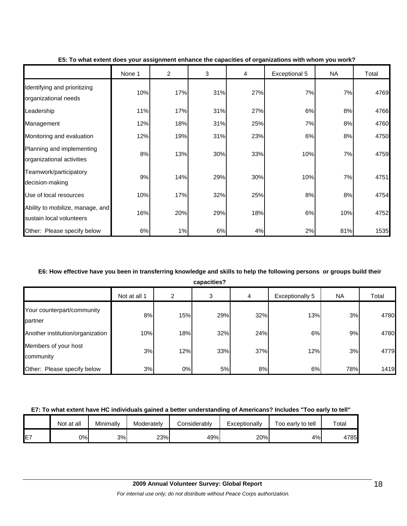|                                                              | None 1 | $\overline{2}$ | 3   | 4   | <b>Exceptional 5</b> | NA  | Total |
|--------------------------------------------------------------|--------|----------------|-----|-----|----------------------|-----|-------|
| Identifying and prioritizing<br>organizational needs         | 10%    | 17%            | 31% | 27% | 7%                   | 7%  | 4769  |
| Leadership                                                   | 11%    | 17%            | 31% | 27% | 6%                   | 8%  | 4766  |
| Management                                                   | 12%    | 18%            | 31% | 25% | 7%                   | 8%  | 4760  |
| Monitoring and evaluation                                    | 12%    | 19%            | 31% | 23% | 6%                   | 8%  | 4750  |
| Planning and implementing<br>organizational activities       | 8%     | 13%            | 30% | 33% | 10%                  | 7%  | 4759  |
| Teamwork/participatory<br>decision-making                    | 9%     | 14%            | 29% | 30% | 10%                  | 7%  | 4751  |
| Use of local resources                                       | 10%    | 17%            | 32% | 25% | 8%                   | 8%  | 4754  |
| Ability to mobilize, manage, and<br>sustain local volunteers | 16%    | 20%            | 29% | 18% | 6%                   | 10% | 4752  |
| Other: Please specify below                                  | 6%     | 1%             | 6%  | 4%  | 2%                   | 81% | 1535  |

#### **E5: To what extent does your assignment enhance the capacities of organizations with whom you work?**

# **E6: How effective have you been in transferring knowledge and skills to help the following persons or groups build their**

| capacities? |  |
|-------------|--|
|             |  |

|                                       | Not at all 1 | 2   | 3   | 4   | <b>Exceptionally 5</b> | NA. | Total |
|---------------------------------------|--------------|-----|-----|-----|------------------------|-----|-------|
| Your counterpart/community<br>partner | 8%           | 15% | 29% | 32% | 13%                    | 3%  | 4780  |
| Another institution/organization      | 10%          | 18% | 32% | 24% | 6%                     | 9%  | 4780  |
| Members of your host<br>community     | 3%           | 12% | 33% | 37% | 12%                    | 3%  | 4779  |
| Other: Please specify below           | 3%           | 0%  | 5%  | 8%  | 6%                     | 78% | 1419  |

# **E7: To what extent have HC individuals gained a better understanding of Americans? Includes "Too early to tell"**

|    | Not at all | Minimally | Moderately | Considerably | Exceptionally | Too early to tell | Total |
|----|------------|-----------|------------|--------------|---------------|-------------------|-------|
| E7 | 0%l        | 3%        | 23%        | 49%          | 20%           | 4%                | 4785  |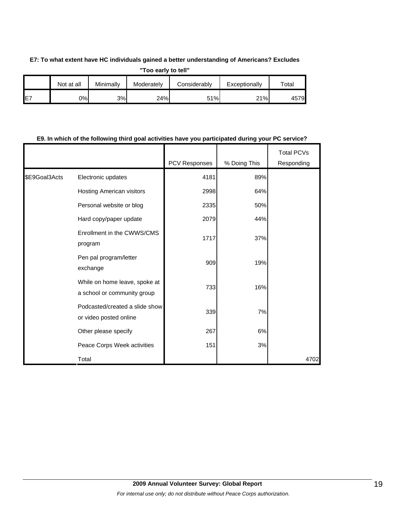### **E7: To what extent have HC individuals gained a better understanding of Americans? Excludes**

**"Too early to tell"**

|    | Not at all | Minimally | Moderately | Considerablv | Exceptionally | $\tau$ otal |
|----|------------|-----------|------------|--------------|---------------|-------------|
| E7 | 2%         | 3%        | 24%        | 51%          | 21%           | 4579        |

# **E9. In which of the following third goal activities have you participated during your PC service?**

|               |                                                              | PCV Responses | % Doing This | <b>Total PCVs</b><br>Responding |
|---------------|--------------------------------------------------------------|---------------|--------------|---------------------------------|
| \$E9Goal3Acts | Electronic updates                                           | 4181          | 89%          |                                 |
|               | Hosting American visitors                                    | 2998          | 64%          |                                 |
|               | Personal website or blog                                     | 2335          | 50%          |                                 |
|               | Hard copy/paper update                                       | 2079          | 44%          |                                 |
|               | Enrollment in the CWWS/CMS<br>program                        | 1717          | 37%          |                                 |
|               | Pen pal program/letter<br>exchange                           | 909           | 19%          |                                 |
|               | While on home leave, spoke at<br>a school or community group | 733           | 16%          |                                 |
|               | Podcasted/created a slide show<br>or video posted online     | 339           | 7%           |                                 |
|               | Other please specify                                         | 267           | 6%           |                                 |
|               | Peace Corps Week activities                                  | 151           | 3%           |                                 |
|               | Total                                                        |               |              | 4702                            |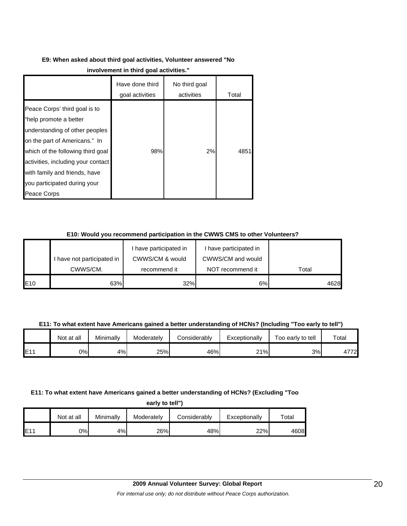# **E9: When asked about third goal activities, Volunteer answered "No**

|                                                                                                                                                                                                                                                                                       | Have done third<br>goal activities | No third goal<br>activities | Total |
|---------------------------------------------------------------------------------------------------------------------------------------------------------------------------------------------------------------------------------------------------------------------------------------|------------------------------------|-----------------------------|-------|
| Peace Corps' third goal is to<br>"help promote a better<br>understanding of other peoples<br>on the part of Americans." In<br>which of the following third goal<br>activities, including your contact<br>with family and friends, have<br>you participated during your<br>Peace Corps | 98%                                | 2%                          | 4851  |

# **E10: Would you recommend participation in the CWWS CMS to other Volunteers?**

|     |                            | I have participated in | I have participated in |       |
|-----|----------------------------|------------------------|------------------------|-------|
|     | I have not participated in | CWWS/CM & would        | CWWS/CM and would      |       |
|     | CWWS/CM.                   | recommend it           | NOT recommend it       | Total |
| E10 | 63%                        | 32%                    | 6%                     | 4628  |

### **E11: To what extent have Americans gained a better understanding of HCNs? (Including "Too early to tell")**

|     | Not at all | Minimally | Moderately | Considerably | Exceptionally | Too early to tell | Total |
|-----|------------|-----------|------------|--------------|---------------|-------------------|-------|
| E11 | 0%I        | 4%        | 25%        | 46%          | 21%           | 3%                | 4772  |

### **E11: To what extent have Americans gained a better understanding of HCNs? (Excluding "Too**

**early to tell")**

|     | Not at all | Minimally | Moderately | Considerably | Exceptionally | $\tau$ otal |
|-----|------------|-----------|------------|--------------|---------------|-------------|
| E11 | 0%         | 4%        | 26%        | 48%          | 22%           | 4608        |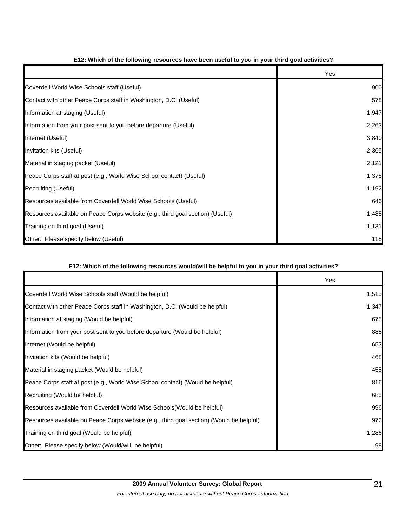|                                                                                | Yes   |
|--------------------------------------------------------------------------------|-------|
| Coverdell World Wise Schools staff (Useful)                                    | 900   |
| Contact with other Peace Corps staff in Washington, D.C. (Useful)              | 578   |
| Information at staging (Useful)                                                | 1,947 |
| Information from your post sent to you before departure (Useful)               | 2,263 |
| Internet (Useful)                                                              | 3,840 |
| Invitation kits (Useful)                                                       | 2,365 |
| Material in staging packet (Useful)                                            | 2,121 |
| Peace Corps staff at post (e.g., World Wise School contact) (Useful)           | 1,378 |
| Recruiting (Useful)                                                            | 1,192 |
| Resources available from Coverdell World Wise Schools (Useful)                 | 646   |
| Resources available on Peace Corps website (e.g., third goal section) (Useful) | 1,485 |
| Training on third goal (Useful)                                                | 1,131 |
| Other: Please specify below (Useful)                                           | 115   |

# **E12: Which of the following resources have been useful to you in your third goal activities?**

## **E12: Which of the following resources would/will be helpful to you in your third goal activities?**

|                                                                                          | Yes   |
|------------------------------------------------------------------------------------------|-------|
| Coverdell World Wise Schools staff (Would be helpful)                                    | 1,515 |
| Contact with other Peace Corps staff in Washington, D.C. (Would be helpful)              | 1,347 |
| Information at staging (Would be helpful)                                                | 673   |
| Information from your post sent to you before departure (Would be helpful)               | 885   |
| Internet (Would be helpful)                                                              | 653   |
| Invitation kits (Would be helpful)                                                       | 468   |
| Material in staging packet (Would be helpful)                                            | 455   |
| Peace Corps staff at post (e.g., World Wise School contact) (Would be helpful)           | 816   |
| Recruiting (Would be helpful)                                                            | 683   |
| Resources available from Coverdell World Wise Schools (Would be helpful)                 | 996   |
| Resources available on Peace Corps website (e.g., third goal section) (Would be helpful) | 972   |
| Training on third goal (Would be helpful)                                                | 1,286 |
| Other: Please specify below (Would/will be helpful)                                      | 98    |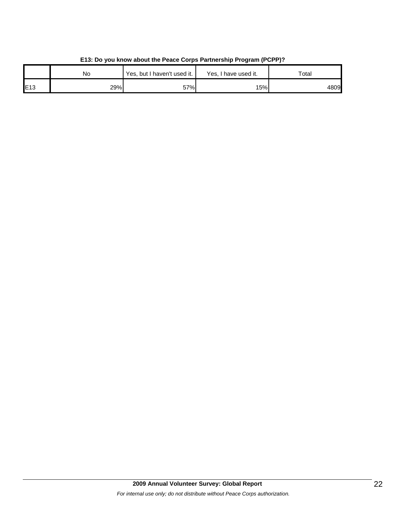|     | No  | Yes, but I haven't used it. | Yes, I have used it. | Total |
|-----|-----|-----------------------------|----------------------|-------|
| E13 | 29% | 57%                         | 15%                  | 4809  |

# **E13: Do you know about the Peace Corps Partnership Program (PCPP)?**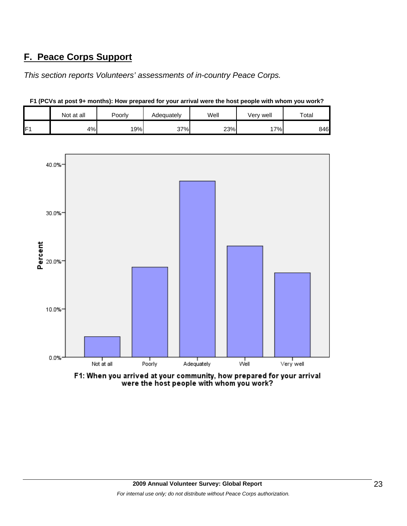# **F. Peace Corps Support**

*This section reports Volunteers' assessments of in-country Peace Corps.* 

|                | Not at all | Poorly | Adequately | Well | Very well | Total |
|----------------|------------|--------|------------|------|-----------|-------|
| E <sub>1</sub> | 4%         | 19%    | 37%        | 23%  | 7%        | 846   |

**F1 (PCVs at post 9+ months): How prepared for your arrival were the host people with whom you work?**



F1: When you arrived at your community, how prepared for your arrival were the host people with whom you work?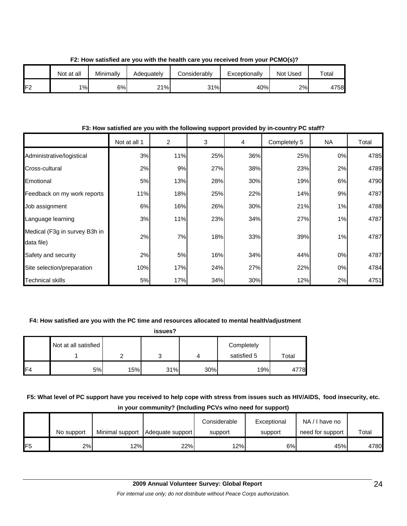|     | Not at all | Minimally | Adequatelv | Considerably | Exceptionally | Not Used | Totai |
|-----|------------|-----------|------------|--------------|---------------|----------|-------|
| IF2 | 1%         | 6%        | 21%        | 31%          | 40%           | 2%       | 4758  |

**F2: How satisfied are you with the health care you received from your PCMO(s)?**

### **F3: How satisfied are you with the following support provided by in-country PC staff?**

|                                             | Not at all 1 | 2   | 3   | 4   | Completely 5 | NA | Total |
|---------------------------------------------|--------------|-----|-----|-----|--------------|----|-------|
| Administrative/logistical                   | 3%           | 11% | 25% | 36% | 25%          | 0% | 4785  |
| Cross-cultural                              | 2%           | 9%  | 27% | 38% | 23%          | 2% | 4789  |
| Emotional                                   | 5%           | 13% | 28% | 30% | 19%          | 6% | 4790  |
| Feedback on my work reports                 | 11%          | 18% | 25% | 22% | 14%          | 9% | 4787  |
| Job assignment                              | 6%           | 16% | 26% | 30% | 21%          | 1% | 4788  |
| Language learning                           | 3%           | 11% | 23% | 34% | 27%          | 1% | 4787  |
| Medical (F3g in survey B3h in<br>data file) | 2%           | 7%  | 18% | 33% | 39%          | 1% | 4787  |
| Safety and security                         | 2%           | 5%  | 16% | 34% | 44%          | 0% | 4787  |
| Site selection/preparation                  | 10%          | 17% | 24% | 27% | 22%          | 0% | 4784  |
| <b>Technical skills</b>                     | 5%           | 17% | 34% | 30% | 12%          | 2% | 4751  |

#### **F4: How satisfied are you with the PC time and resources allocated to mental health/adjustment**

| issues?        |                      |     |     |     |                           |       |  |
|----------------|----------------------|-----|-----|-----|---------------------------|-------|--|
|                | Not at all satisfied |     |     |     | Completely<br>satisfied 5 | Total |  |
| F <sub>4</sub> | 5%                   | 15% | 31% | 30% | 19%                       | 4778  |  |

**F5: What level of PC support have you received to help cope with stress from issues such as HIV/AIDS, food insecurity, etc.** 

**in your community? (Including PCVs w/no need for support)**

|                | No support | Minimal support | Adequate support | Considerable<br>support | Exceptional<br>support | NA/I have no<br>need for support | Total |
|----------------|------------|-----------------|------------------|-------------------------|------------------------|----------------------------------|-------|
| F <sub>5</sub> | 2%         | 12%             | 22%              | 12%                     | 6%                     | 45%                              | 4780  |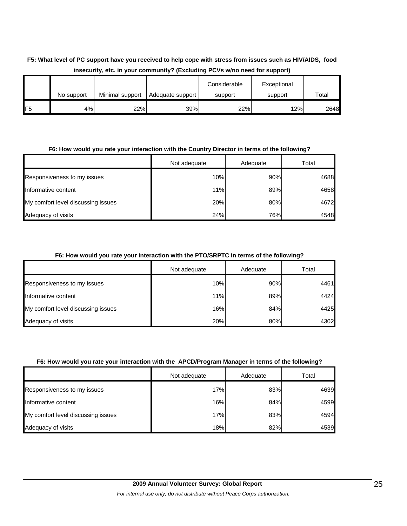# **F5: What level of PC support have you received to help cope with stress from issues such as HIV/AIDS, food insecurity, etc. in your community? (Excluding PCVs w/no need for support)**

|                 | No support | Minimal support | Adequate support | Considerable<br>support | Exceptional<br>support | Total |
|-----------------|------------|-----------------|------------------|-------------------------|------------------------|-------|
| IF <sub>5</sub> | 4%         | 22%             | 39%              | 22%                     | 12%                    | 2648  |

### **F6: How would you rate your interaction with the Country Director in terms of the following?**

|                                    | Not adequate | Adequate | Total |
|------------------------------------|--------------|----------|-------|
| Responsiveness to my issues        | 10%          | 90%      | 4688  |
| Informative content                | 11%          | 89%      | 4658  |
| My comfort level discussing issues | 20%          | 80%      | 4672  |
| Adequacy of visits                 | 24%          | 76%      | 4548  |

## **F6: How would you rate your interaction with the PTO/SRPTC in terms of the following?**

|                                    | Not adequate | Adequate | Total |
|------------------------------------|--------------|----------|-------|
| Responsiveness to my issues        | 10%          | 90%      | 4461  |
| Informative content                | 11%          | 89%      | 4424  |
| My comfort level discussing issues | 16%          | 84%      | 4425  |
| Adequacy of visits                 | 20%          | 80%      | 4302  |

#### **F6: How would you rate your interaction with the APCD/Program Manager in terms of the following?**

|                                    | Not adequate | Adequate | Total |
|------------------------------------|--------------|----------|-------|
| Responsiveness to my issues        | 17%          | 83%      | 4639  |
| Informative content                | 16%          | 84%      | 4599  |
| My comfort level discussing issues | 17%          | 83%      | 4594  |
| Adequacy of visits                 | 18%          | 82%      | 4539  |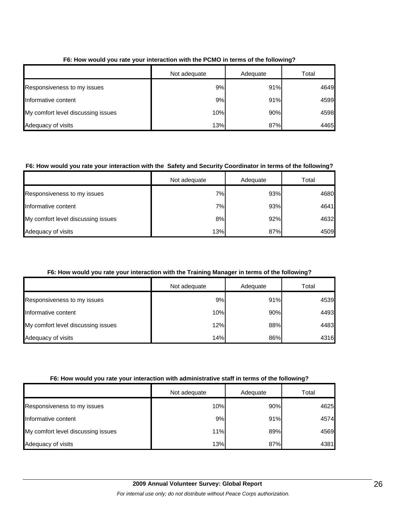|                                    | Not adequate | Adequate | Total |
|------------------------------------|--------------|----------|-------|
| Responsiveness to my issues        | 9%           | 91%      | 4649  |
| Informative content                | 9%           | 91%      | 4599  |
| My comfort level discussing issues | 10%          | 90%      | 4598  |
| Adequacy of visits                 | 13%          | 87%      | 4465  |

## **F6: How would you rate your interaction with the PCMO in terms of the following?**

# **F6: How would you rate your interaction with the Safety and Security Coordinator in terms of the following?**

|                                    | Not adequate | Adequate | Total |
|------------------------------------|--------------|----------|-------|
| Responsiveness to my issues        | 7%           | 93%      | 4680  |
| Informative content                | 7%           | 93%      | 4641  |
| My comfort level discussing issues | 8%           | 92%      | 4632  |
| Adequacy of visits                 | 13%          | 87%      | 4509  |

## **F6: How would you rate your interaction with the Training Manager in terms of the following?**

|                                    | Not adequate | Adequate | Total |
|------------------------------------|--------------|----------|-------|
| <b>Responsiveness to my issues</b> | 9%           | 91%      | 4539  |
| Informative content                | 10%          | 90%      | 4493  |
| My comfort level discussing issues | 12%          | 88%      | 4483  |
| Adequacy of visits                 | 14%          | 86%      | 4316  |

#### **F6: How would you rate your interaction with administrative staff in terms of the following?**

|                                    | Not adequate | Adequate | Total |
|------------------------------------|--------------|----------|-------|
| Responsiveness to my issues        | 10%          | 90%      | 4625  |
| Informative content                | 9%           | 91%      | 4574  |
| My comfort level discussing issues | 11%          | 89%      | 4569  |
| Adequacy of visits                 | 13%          | 87%      | 4381  |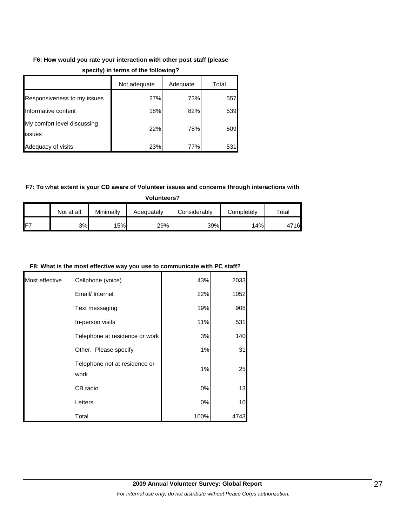# **F6: How would you rate your interaction with other post staff (please**

|                                       | Not adequate | Adequate | Total |
|---------------------------------------|--------------|----------|-------|
| Responsiveness to my issues           | 27%          | 73%      | 557   |
| Informative content                   | 18%          | 82%      | 539   |
| My comfort level discussing<br>issues | 22%          | 78%      | 509   |
| Adequacy of visits                    | 23%          | 77%      | 531   |

## **specify) in terms of the following?**

# **F7: To what extent is your CD aware of Volunteer issues and concerns through interactions with**

**Volunteers?**

|                 | Not at all | Minimally | Adeɑuatelv | Considerablv | Completelv | Total            |
|-----------------|------------|-----------|------------|--------------|------------|------------------|
| IF <sub>7</sub> | 3%         | 15%.      | 29%        | 39%          | 14%        | <b>716</b><br>4, |

### **F8: What is the most effective way you use to communicate with PC staff?**

| Most effective | Cellphone (voice)                     | 43%  | 2033 |
|----------------|---------------------------------------|------|------|
|                | Email/ Internet                       | 22%  | 1052 |
|                | Text messaging                        | 19%  | 908  |
|                | In-person visits                      | 11%  | 531  |
|                | Telephone at residence or work        | 3%   | 140  |
|                | Other. Please specify                 | 1%   | 31   |
|                | Telephone not at residence or<br>work | 1%   | 25   |
|                | CB radio                              | 0%   | 13   |
|                | Letters                               | 0%   | 10   |
|                | Total                                 | 100% | 4743 |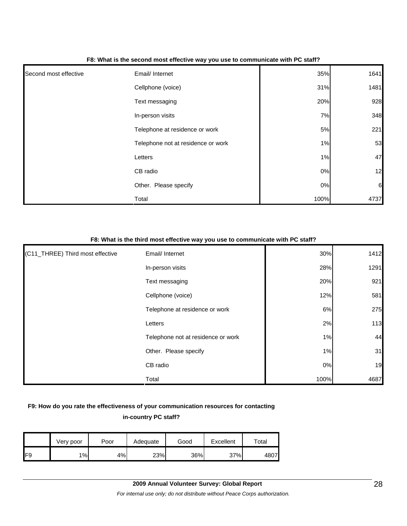| Second most effective | Email/ Internet                    | 35%   | 1641             |
|-----------------------|------------------------------------|-------|------------------|
|                       | Cellphone (voice)                  | 31%   | 1481             |
|                       | Text messaging                     | 20%   | 928              |
|                       | In-person visits                   | 7%    | 348              |
|                       | Telephone at residence or work     | 5%    | 221              |
|                       | Telephone not at residence or work | 1%    | 53               |
|                       | Letters                            | 1%    | 47               |
|                       | CB radio                           | $0\%$ | 12               |
|                       | Other. Please specify              | $0\%$ | $6 \overline{6}$ |
|                       | Total                              | 100%  | 4737             |

#### **F8: What is the second most effective way you use to communicate with PC staff?**

#### **F8: What is the third most effective way you use to communicate with PC staff?**

| (C11_THREE) Third most effective | Email/ Internet                    | 30%  | 1412 |
|----------------------------------|------------------------------------|------|------|
|                                  | In-person visits                   | 28%  | 1291 |
|                                  | Text messaging                     | 20%  | 921  |
|                                  | Cellphone (voice)                  | 12%  | 581  |
|                                  | Telephone at residence or work     | 6%   | 275  |
|                                  | Letters                            | 2%   | 113  |
|                                  | Telephone not at residence or work | 1%   | 44   |
|                                  | Other. Please specify              | 1%   | 31   |
|                                  | CB radio                           | 0%   | 19   |
|                                  | Total                              | 100% | 4687 |

# **F9: How do you rate the effectiveness of your communication resources for contacting in-country PC staff?**

|     | Very poor | Poor | Adequate | Good | Excellent | $\tau$ otal |
|-----|-----------|------|----------|------|-----------|-------------|
| IF9 | 1%        | 4%   | 23%      | 36%  | 37%       | 4807        |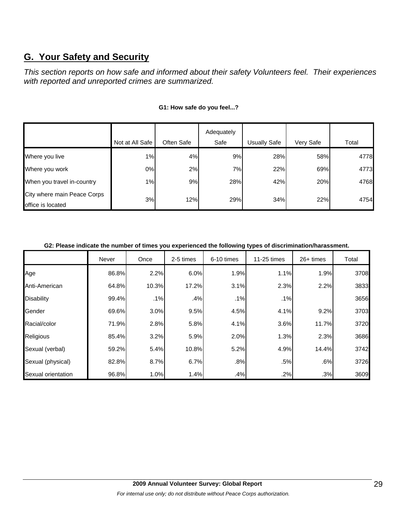# **G. Your Safety and Security**

*This section reports on how safe and informed about their safety Volunteers feel. Their experiences with reported and unreported crimes are summarized.* 

|                                                  |                 |            | Adequately |                     |           |       |
|--------------------------------------------------|-----------------|------------|------------|---------------------|-----------|-------|
|                                                  | Not at All Safe | Often Safe | Safe       | <b>Usually Safe</b> | Very Safe | Total |
| Where you live                                   | 1%              | 4%         | 9%         | 28%                 | 58%       | 4778  |
| Where you work                                   | 0%              | 2%         | 7%l        | 22%                 | 69%       | 4773  |
| When you travel in-country                       | 1%              | 9%         | 28%        | 42%                 | 20%       | 4768  |
| City where main Peace Corps<br>office is located | 3%              | 12%        | 29%        | 34%                 | 22%       | 4754  |

### **G1: How safe do you feel...?**

#### **G2: Please indicate the number of times you experienced the following types of discrimination/harassment.**

|                    | Never | Once  | 2-5 times | 6-10 times | 11-25 times | 26+ times | Total |
|--------------------|-------|-------|-----------|------------|-------------|-----------|-------|
| Age                | 86.8% | 2.2%  | 6.0%      | 1.9%       | 1.1%        | 1.9%      | 3708  |
| Anti-American      | 64.8% | 10.3% | 17.2%     | 3.1%       | 2.3%        | 2.2%      | 3833  |
| <b>Disability</b>  | 99.4% | .1%   | .4%       | .1%        | .1%         |           | 3656  |
| Gender             | 69.6% | 3.0%  | 9.5%      | 4.5%       | 4.1%        | 9.2%      | 3703  |
| Racial/color       | 71.9% | 2.8%  | 5.8%      | 4.1%       | 3.6%        | 11.7%     | 3720  |
| Religious          | 85.4% | 3.2%  | 5.9%      | 2.0%       | 1.3%        | 2.3%      | 3686  |
| Sexual (verbal)    | 59.2% | 5.4%  | 10.8%     | 5.2%       | 4.9%        | 14.4%     | 3742  |
| Sexual (physical)  | 82.8% | 8.7%  | 6.7%      | .8%        | .5%         | .6%       | 3726  |
| Sexual orientation | 96.8% | 1.0%  | 1.4%      | .4%        | .2%         | .3%       | 3609  |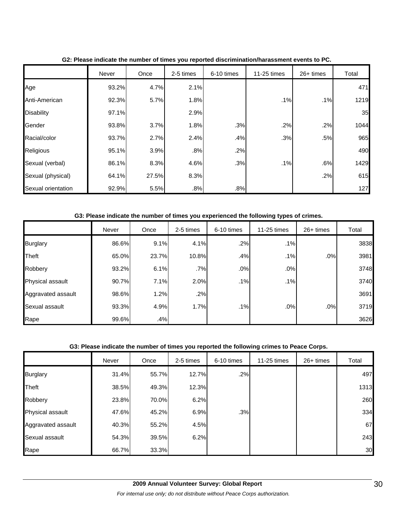|                    | Never | Once  | 2-5 times | 6-10 times | 11-25 times | 26+ times | Total |
|--------------------|-------|-------|-----------|------------|-------------|-----------|-------|
| Age                | 93.2% | 4.7%  | 2.1%      |            |             |           | 471   |
| Anti-American      | 92.3% | 5.7%  | 1.8%      |            | .1%         | .1%       | 1219  |
| <b>Disability</b>  | 97.1% |       | 2.9%      |            |             |           | 35    |
| Gender             | 93.8% | 3.7%  | 1.8%      | .3%        | .2%         | .2%       | 1044  |
| Racial/color       | 93.7% | 2.7%  | 2.4%      | .4%        | .3%         | .5%       | 965   |
| Religious          | 95.1% | 3.9%  | .8%       | .2%        |             |           | 490   |
| Sexual (verbal)    | 86.1% | 8.3%  | 4.6%      | .3%        | .1%         | .6%       | 1429  |
| Sexual (physical)  | 64.1% | 27.5% | 8.3%      |            |             | .2%       | 615   |
| Sexual orientation | 92.9% | 5.5%  | .8%       | .8%        |             |           | 127   |

**G2: Please indicate the number of times you reported discrimination/harassment events to PC.**

### **G3: Please indicate the number of times you experienced the following types of crimes.**

|                    | Never | Once  | 2-5 times | 6-10 times | 11-25 times | $26+$ times | Total |
|--------------------|-------|-------|-----------|------------|-------------|-------------|-------|
| <b>Burglary</b>    | 86.6% | 9.1%  | 4.1%      | .2%        | .1%         |             | 3838  |
| Theft              | 65.0% | 23.7% | 10.8%     | .4%        | .1%         | .0%         | 3981  |
| Robbery            | 93.2% | 6.1%  | .7%       | .0%        | .0%         |             | 3748  |
| Physical assault   | 90.7% | 7.1%  | 2.0%      | .1%        | .1%         |             | 3740  |
| Aggravated assault | 98.6% | 1.2%  | .2%       |            |             |             | 3691  |
| Sexual assault     | 93.3% | 4.9%  | 1.7%      | .1%        | .0%         | .0%         | 3719  |
| Rape               | 99.6% | .4%   |           |            |             |             | 3626  |

#### **G3: Please indicate the number of times you reported the following crimes to Peace Corps.**

|                         | Never | Once  | 2-5 times | 6-10 times | 11-25 times | 26+ times | Total |
|-------------------------|-------|-------|-----------|------------|-------------|-----------|-------|
| <b>Burglary</b>         | 31.4% | 55.7% | 12.7%     | .2%        |             |           | 497   |
| <b>Theft</b>            | 38.5% | 49.3% | 12.3%     |            |             |           | 1313  |
| Robbery                 | 23.8% | 70.0% | 6.2%      |            |             |           | 260   |
| <b>Physical assault</b> | 47.6% | 45.2% | 6.9%      | .3%        |             |           | 334   |
| Aggravated assault      | 40.3% | 55.2% | 4.5%      |            |             |           | 67    |
| Sexual assault          | 54.3% | 39.5% | 6.2%      |            |             |           | 243   |
| Rape                    | 66.7% | 33.3% |           |            |             |           | 30    |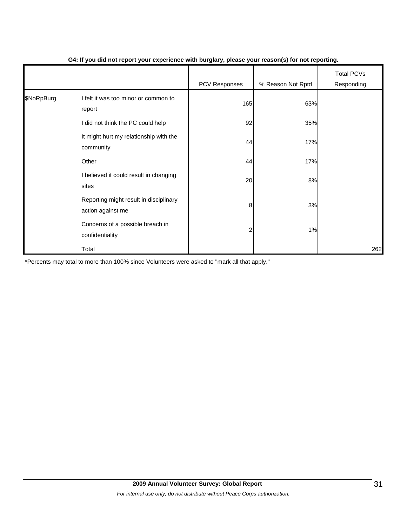|            |                                                             | - - -         | $\mathbf{v}$      |                                 |
|------------|-------------------------------------------------------------|---------------|-------------------|---------------------------------|
|            |                                                             | PCV Responses | % Reason Not Rptd | <b>Total PCVs</b><br>Responding |
| \$NoRpBurg | I felt it was too minor or common to<br>report              | 165           | 63%               |                                 |
|            | did not think the PC could help                             | 92            | 35%               |                                 |
|            | It might hurt my relationship with the<br>community         | 44            | 17%               |                                 |
|            | Other                                                       | 44            | 17%               |                                 |
|            | I believed it could result in changing<br>sites             | 20            | 8%                |                                 |
|            | Reporting might result in disciplinary<br>action against me | 8             | 3%                |                                 |
|            | Concerns of a possible breach in<br>confidentiality         |               | 1%                |                                 |
|            | Total                                                       |               |                   | 262                             |

### **G4: If you did not report your experience with burglary, please your reason(s) for not reporting.**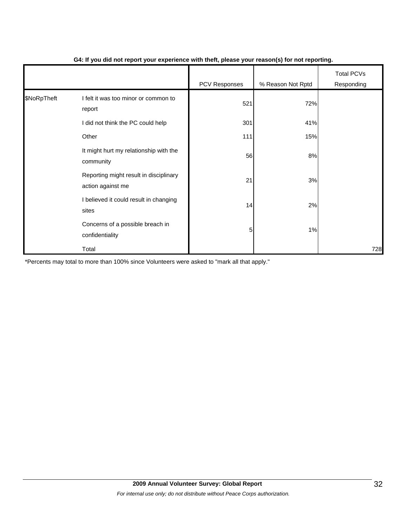|             |                                                             | . .           | $\cdot$           |                                 |
|-------------|-------------------------------------------------------------|---------------|-------------------|---------------------------------|
|             |                                                             | PCV Responses | % Reason Not Rptd | <b>Total PCVs</b><br>Responding |
| \$NoRpTheft | I felt it was too minor or common to<br>report              | 521           | 72%               |                                 |
|             | I did not think the PC could help                           | 301           | 41%               |                                 |
|             | Other                                                       | 111           | 15%               |                                 |
|             | It might hurt my relationship with the<br>community         | 56            | 8%                |                                 |
|             | Reporting might result in disciplinary<br>action against me | 21            | 3%                |                                 |
|             | I believed it could result in changing<br>sites             | 14            | 2%                |                                 |
|             | Concerns of a possible breach in<br>confidentiality         | 5             | 1%                |                                 |
|             | Total                                                       |               |                   | 728                             |

### **G4: If you did not report your experience with theft, please your reason(s) for not reporting.**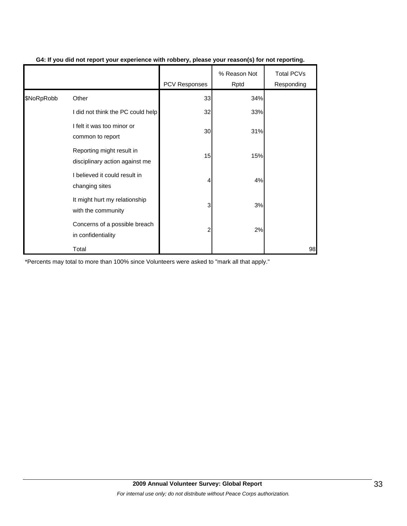|            |                                                             | <b>PCV Responses</b> | % Reason Not<br>Rptd | <b>Total PCVs</b><br>Responding |
|------------|-------------------------------------------------------------|----------------------|----------------------|---------------------------------|
| \$NoRpRobb | Other                                                       | 33                   | 34%                  |                                 |
|            | I did not think the PC could help                           | 32                   | 33%                  |                                 |
|            | I felt it was too minor or<br>common to report              | 30                   | 31%                  |                                 |
|            | Reporting might result in<br>disciplinary action against me | 15                   | 15%                  |                                 |
|            | I believed it could result in<br>changing sites             | 4                    | 4%                   |                                 |
|            | It might hurt my relationship<br>with the community         | 3                    | 3%                   |                                 |
|            | Concerns of a possible breach<br>in confidentiality         | 2                    | 2%                   |                                 |
|            | Total                                                       |                      |                      | 98                              |

### **G4: If you did not report your experience with robbery, please your reason(s) for not reporting.**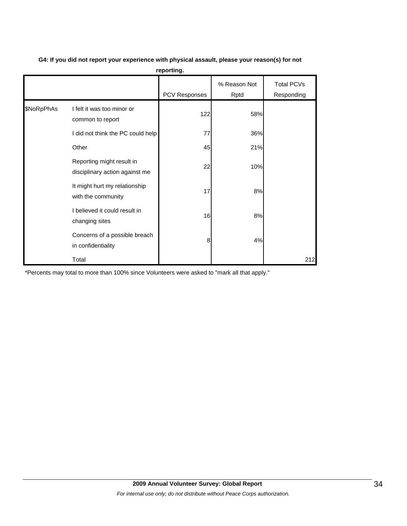|            |                                                             | .                    |                      |                                 |
|------------|-------------------------------------------------------------|----------------------|----------------------|---------------------------------|
|            |                                                             | <b>PCV Responses</b> | % Reason Not<br>Rptd | <b>Total PCVs</b><br>Responding |
| \$NoRpPhAs | I felt it was too minor or<br>common to report              | 122                  | 58%                  |                                 |
|            | I did not think the PC could help                           | 77                   | 36%                  |                                 |
|            | Other                                                       | 45                   | 21%                  |                                 |
|            | Reporting might result in<br>disciplinary action against me | 22                   | 10%                  |                                 |
|            | It might hurt my relationship<br>with the community         | 17                   | 8%                   |                                 |
|            | I believed it could result in<br>changing sites             | 16                   | 8%                   |                                 |
|            | Concerns of a possible breach<br>in confidentiality         | 8                    | 4%                   |                                 |
|            | Total                                                       |                      |                      | 212                             |

**G4: If you did not report your experience with physical assault, please your reason(s) for not reporting.**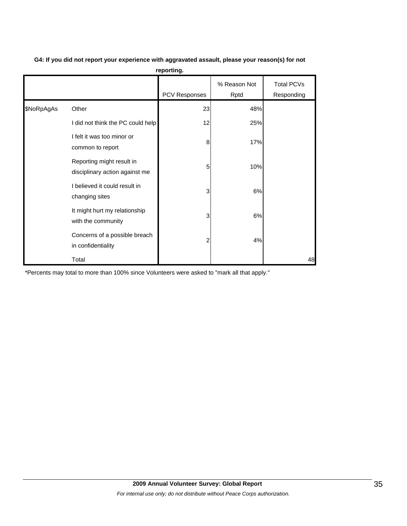|            |                                                             | reporting.    |                      |                          |
|------------|-------------------------------------------------------------|---------------|----------------------|--------------------------|
|            |                                                             | PCV Responses | % Reason Not<br>Rptd | Total PCVs<br>Responding |
| \$NoRpAgAs | Other                                                       | 23            | 48%                  |                          |
|            | I did not think the PC could help                           | 12            | 25%                  |                          |
|            | I felt it was too minor or<br>common to report              | 8             | 17%                  |                          |
|            | Reporting might result in<br>disciplinary action against me | 5             | 10%                  |                          |
|            | I believed it could result in<br>changing sites             | 3             | 6%                   |                          |
|            | It might hurt my relationship<br>with the community         | 3             | 6%                   |                          |
|            | Concerns of a possible breach<br>in confidentiality         | 2             | 4%                   |                          |
|            | Total                                                       |               |                      | 48                       |

**G4: If you did not report your experience with aggravated assault, please your reason(s) for not reporting.**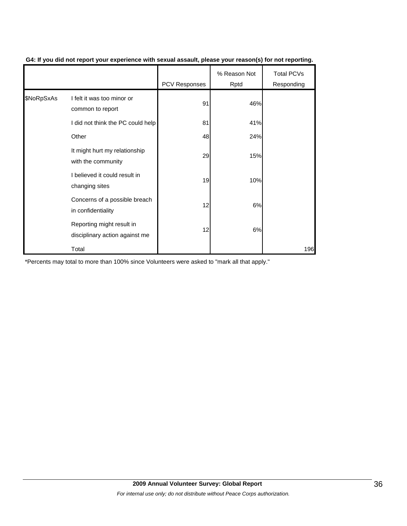|            |                                                             | PCV Responses | % Reason Not<br>Rptd | <b>Total PCVs</b><br>Responding |
|------------|-------------------------------------------------------------|---------------|----------------------|---------------------------------|
| \$NoRpSxAs | I felt it was too minor or<br>common to report              | 91            | 46%                  |                                 |
|            | I did not think the PC could help                           | 81            | 41%                  |                                 |
|            | Other                                                       | 48            | 24%                  |                                 |
|            | It might hurt my relationship<br>with the community         | 29            | 15%                  |                                 |
|            | I believed it could result in<br>changing sites             | 19            | 10%                  |                                 |
|            | Concerns of a possible breach<br>in confidentiality         | 12            | 6%                   |                                 |
|            | Reporting might result in<br>disciplinary action against me | 12            | 6%                   |                                 |
|            | Total                                                       |               |                      | 196                             |

### **G4: If you did not report your experience with sexual assault, please your reason(s) for not reporting.**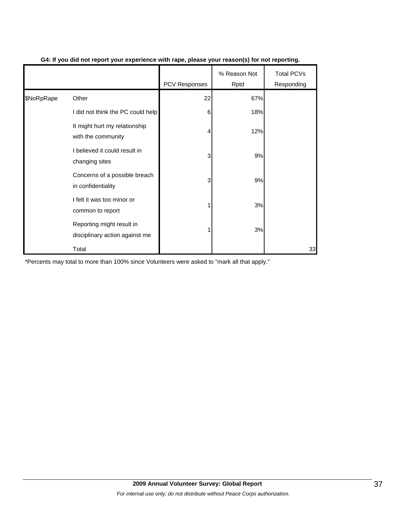|            |                                                             | <b>PCV Responses</b> | % Reason Not<br>Rptd | <b>Total PCVs</b><br>Responding |
|------------|-------------------------------------------------------------|----------------------|----------------------|---------------------------------|
| \$NoRpRape | Other                                                       | 22                   | 67%                  |                                 |
|            | I did not think the PC could help                           | 6                    | 18%                  |                                 |
|            | It might hurt my relationship<br>with the community         | 4                    | 12%                  |                                 |
|            | I believed it could result in<br>changing sites             | 3                    | 9%                   |                                 |
|            | Concerns of a possible breach<br>in confidentiality         | 3                    | 9%                   |                                 |
|            | I felt it was too minor or<br>common to report              |                      | 3%                   |                                 |
|            | Reporting might result in<br>disciplinary action against me |                      | 3%                   |                                 |
|            | Total                                                       |                      |                      | 33                              |

### **G4: If you did not report your experience with rape, please your reason(s) for not reporting.**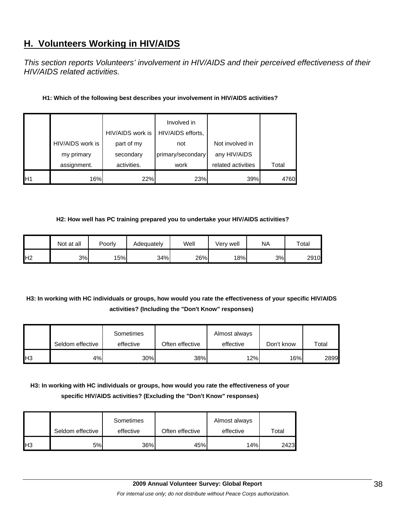# **H. Volunteers Working in HIV/AIDS**

*This section reports Volunteers' involvement in HIV/AIDS and their perceived effectiveness of their HIV/AIDS related activities.* 

| H1: Which of the following best describes your involvement in HIV/AIDS activities? |  |
|------------------------------------------------------------------------------------|--|
|------------------------------------------------------------------------------------|--|

|                |                  | HIV/AIDS work is | Involved in<br>HIV/AIDS efforts, |                    |       |
|----------------|------------------|------------------|----------------------------------|--------------------|-------|
|                | HIV/AIDS work is | part of my       | not                              | Not involved in    |       |
|                | my primary       | secondary        | primary/secondary                | any HIV/AIDS       |       |
|                | assignment.      | activities.      | work                             | related activities | Total |
| H <sub>1</sub> | 16%              | 22%              | 23%                              | 39%                | 4760  |

### **H2: How well has PC training prepared you to undertake your HIV/AIDS activities?**

|                | Not at all | Poorly | Adeauatelv | Well | Very well | <b>NA</b> | $\tau$ otal |
|----------------|------------|--------|------------|------|-----------|-----------|-------------|
| H <sub>2</sub> | 3%         | 15%    | 34%        | 26%  | 18%       | 3%l       | 2910        |

# **H3: In working with HC individuals or groups, how would you rate the effectiveness of your specific HIV/AIDS activities? (Including the "Don't Know" responses)**

|                | Seldom effective | Sometimes<br>effective | Often effective | Almost always<br>effective | Don't know | $\tau$ otal |
|----------------|------------------|------------------------|-----------------|----------------------------|------------|-------------|
| H <sub>3</sub> | 4%l              | 30%                    | 38%             | 12%                        | 16%        | 2899        |

# **H3: In working with HC individuals or groups, how would you rate the effectiveness of your specific HIV/AIDS activities? (Excluding the "Don't Know" responses)**

|     | Seldom effective | Sometimes<br>effective | Often effective | Almost always<br>effective | Total |
|-----|------------------|------------------------|-----------------|----------------------------|-------|
| Iнз | 5%               | 36%                    | 45%             | 14%                        | 2423  |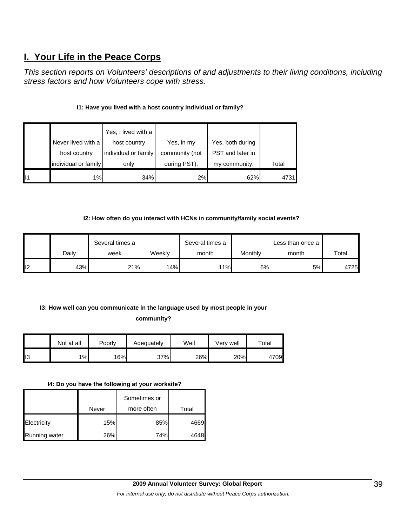# **I. Your Life in the Peace Corps**

*This section reports on Volunteers' descriptions of and adjustments to their living conditions, including stress factors and how Volunteers cope with stress.* 

# **I1: Have you lived with a host country individual or family?**

|                      | Yes, I lived with a  |                |                  |       |
|----------------------|----------------------|----------------|------------------|-------|
| Never lived with a   | host country         | Yes, in my     | Yes, both during |       |
| host country         | individual or family | community (not | PST and later in |       |
| individual or family | only                 | during PST).   | my community.    | Total |
| 1%                   | 34%                  | 2%             | 62%              | 4731I |

## **I2: How often do you interact with HCNs in community/family social events?**

|   |       | Several times a |        | Several times a |         | Less than once a |       |
|---|-------|-----------------|--------|-----------------|---------|------------------|-------|
|   | Dailv | week            | Weekly | month           | Monthly | month            | Total |
| 2 | 43%   | 21%             | 14%    | 11%             | 6%      | 5%               | 4725  |

# **I3: How well can you communicate in the language used by most people in your**

**community?** 

|                | Not at all | Poorly | Adequately | Well | Verv well | $\tau$ otal |
|----------------|------------|--------|------------|------|-----------|-------------|
| $\mathsf{II}3$ | 1%         | 16%    | 37%        | 26%  | 20%       | 4709        |

#### **I4: Do you have the following at your worksite?**

|                      |       | Sometimes or |       |
|----------------------|-------|--------------|-------|
|                      | Never | more often   | Total |
| Electricity          | 15%   | 85%          | 4669  |
| <b>Running water</b> | 26%   | 74%          | 4648  |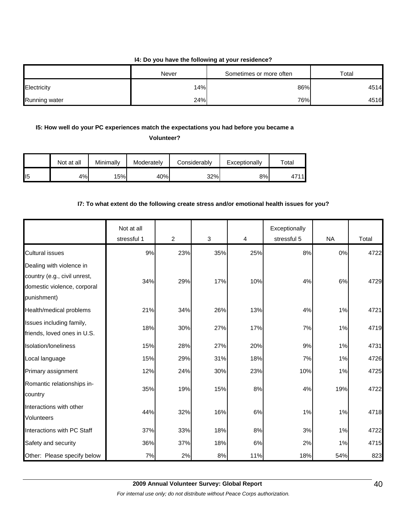#### **I4: Do you have the following at your residence?**

|                      | Never | Sometimes or more often | Total |
|----------------------|-------|-------------------------|-------|
| Electricity          | 14%   | 86%                     | 4514  |
| <b>Running water</b> | 24%   | 76%                     | 4516  |

# **I5: How well do your PC experiences match the expectations you had before you became a**

**Volunteer?** 

|                 | Not at all | Minimally | Moderately | Considerably | Exceptionally | $\tau$ otal |
|-----------------|------------|-----------|------------|--------------|---------------|-------------|
| II <sub>5</sub> | 4%         | 15%       | 40%        | 32%          | 8%            | 4711        |

# **I7: To what extent do the following create stress and/or emotional health issues for you?**

|                                                                                                        | Not at all<br>stressful 1 | $\overline{2}$ | 3   | 4     | Exceptionally<br>stressful 5 | <b>NA</b> | Total |
|--------------------------------------------------------------------------------------------------------|---------------------------|----------------|-----|-------|------------------------------|-----------|-------|
| <b>Cultural issues</b>                                                                                 | 9%                        | 23%            | 35% | 25%   | 8%                           | 0%        | 4722  |
| Dealing with violence in<br>country (e.g., civil unrest,<br>domestic violence, corporal<br>punishment) | 34%                       | 29%            | 17% | 10%   | 4%                           | 6%        | 4729  |
| Health/medical problems                                                                                | 21%                       | 34%            | 26% | 13%   | 4%                           | 1%        | 4721  |
| Issues including family,<br>friends, loved ones in U.S.                                                | 18%                       | 30%            | 27% | 17%   | 7%                           | 1%        | 4719  |
| Isolation/loneliness                                                                                   | 15%                       | 28%            | 27% | 20%   | 9%                           | 1%        | 4731  |
| Local language                                                                                         | 15%                       | 29%            | 31% | 18%   | 7%                           | 1%        | 4726  |
| Primary assignment                                                                                     | 12%                       | 24%            | 30% | 23%   | 10%                          | 1%        | 4725  |
| Romantic relationships in-<br>country                                                                  | 35%                       | 19%            | 15% | 8%    | 4%                           | 19%       | 4722  |
| Interactions with other<br>Volunteers                                                                  | 44%                       | 32%            | 16% | 6%    | 1%                           | 1%        | 4718  |
| Interactions with PC Staff                                                                             | 37%                       | 33%            | 18% | 8%    | 3%                           | 1%        | 4722  |
| Safety and security                                                                                    | 36%                       | 37%            | 18% | $6\%$ | 2%                           | 1%        | 4715  |
| Other: Please specify below                                                                            | 7%                        | 2%             | 8%  | 11%   | 18%                          | 54%       | 823   |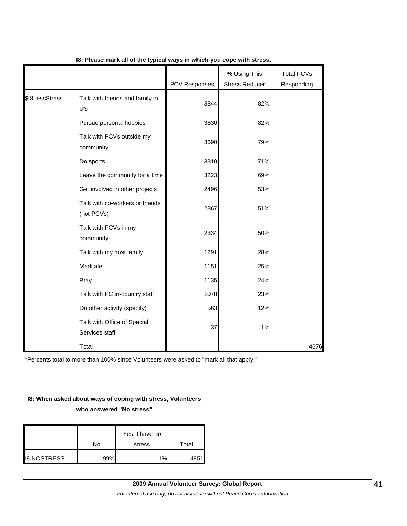|                |                                               | PCV Responses | % Using This<br><b>Stress Reducer</b> | <b>Total PCVs</b><br>Responding |
|----------------|-----------------------------------------------|---------------|---------------------------------------|---------------------------------|
| \$I8LessStress | Talk with friends and family in<br>US         | 3844          | 82%                                   |                                 |
|                | Pursue personal hobbies                       | 3830          | 82%                                   |                                 |
|                | Talk with PCVs outside my<br>community        | 3690          | 79%                                   |                                 |
|                | Do sports                                     | 3310          | 71%                                   |                                 |
|                | Leave the community for a time                | 3223          | 69%                                   |                                 |
|                | Get involved in other projects                | 2496          | 53%                                   |                                 |
|                | Talk with co-workers or friends<br>(not PCVs) | 2367          | 51%                                   |                                 |
|                | Talk with PCVs in my<br>community             | 2334          | 50%                                   |                                 |
|                | Talk with my host family                      | 1291          | 28%                                   |                                 |
|                | Meditate                                      | 1151          | 25%                                   |                                 |
|                | Pray                                          | 1135          | 24%                                   |                                 |
|                | Talk with PC in-country staff                 | 1078          | 23%                                   |                                 |
|                | Do other activity (specify)                   | 563           | 12%                                   |                                 |
|                | Talk with Office of Special<br>Services staff | 37            | 1%                                    |                                 |
|                | Total                                         |               |                                       | 4676                            |

**I8: Please mark all of the typical ways in which you cope with stress.**

\*Percents total to more than 100% since Volunteers were asked to "mark all that apply."

# **I8: When asked about ways of coping with stress, Volunteers**

**who answered "No stress"** 

|                    |     | Yes, I have no |       |
|--------------------|-----|----------------|-------|
|                    | No  | stress         | Total |
| <b>I8.NOSTRESS</b> | 99% | 1%             | 4851  |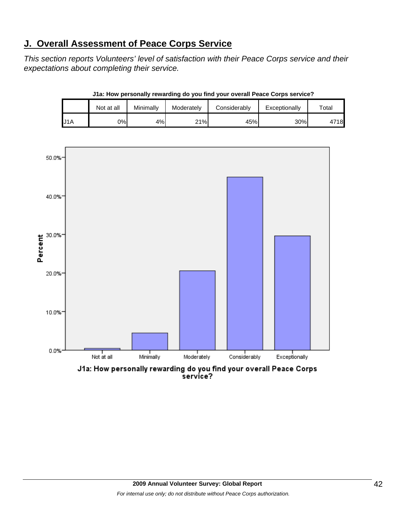# **J. Overall Assessment of Peace Corps Service**

*This section reports Volunteers' level of satisfaction with their Peace Corps service and their expectations about completing their service.* 

|     | Not at all | Minimally | Moderately | Considerably | Exceptionally | $\tau$ otal |
|-----|------------|-----------|------------|--------------|---------------|-------------|
| J1A | 0%l        | 4%        | $21\%$     | 45%          | 30%           | 4718        |

**J1a: How personally rewarding do you find your overall Peace Corps service?**



service?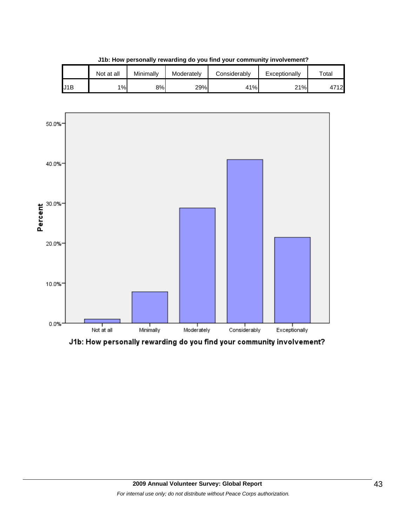|     | Not at all | Minimally | Moderately | Considerablv | Exceptionally | $\tau$ otal |
|-----|------------|-----------|------------|--------------|---------------|-------------|
| J1B | 1%         | 8%        | 29%        | 41%          | 21%           | 4712        |





J1b: How personally rewarding do you find your community involvement?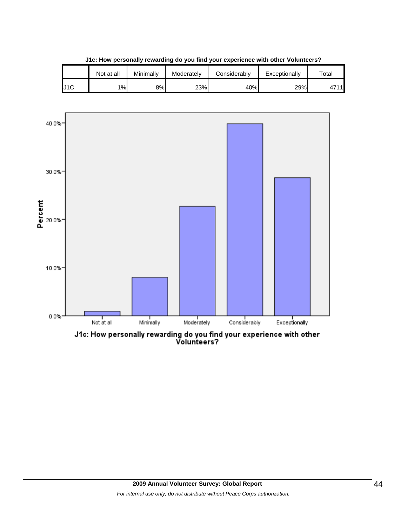|     | Not at all | Minimally | Moderately | Considerablv | Exceptionally | $\tau$ otal |
|-----|------------|-----------|------------|--------------|---------------|-------------|
| J1C | 1%         | 8%        | 23%        | 40%          | 29%           | 1744        |

**J1c: How personally rewarding do you find your experience with other Volunteers?**



J1c: How personally rewarding do you find your experience with other<br>Volunteers?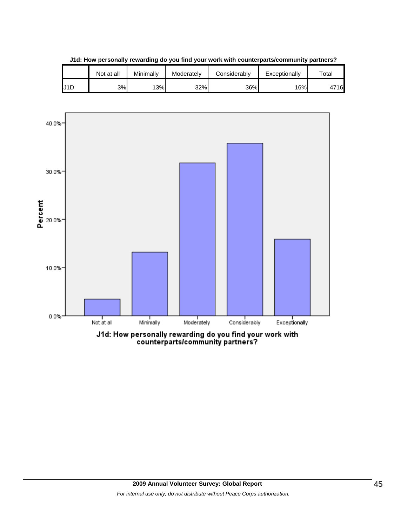|     | Not at all | Minimally | Moderately | Considerably | Exceptionally | Total |
|-----|------------|-----------|------------|--------------|---------------|-------|
| J1D | 3%         | 13%       | 32%        | 36%          | 16%           | 716   |



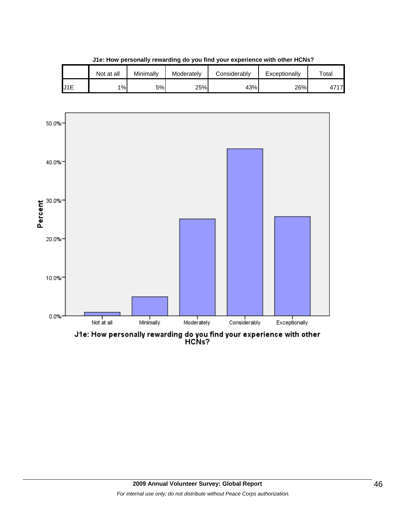|     | Not at all | Minimally | Moderately | Considerably | Exceptionally | $\tau$ otal         |
|-----|------------|-----------|------------|--------------|---------------|---------------------|
| J1E | 1%         | 5%        | 25%        | 43%          | 26%           | $471$ <sup>-1</sup> |

**J1e: How personally rewarding do you find your experience with other HCNs?**

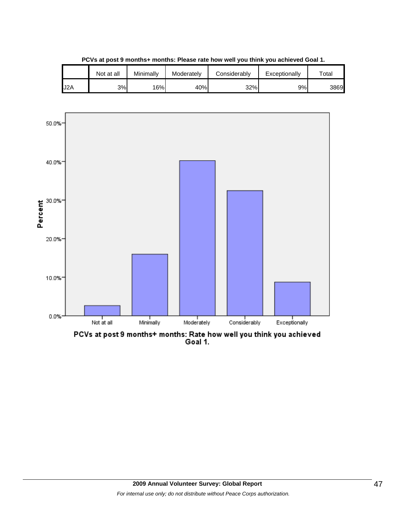

**PCVs at post 9 months+ months: Please rate how well you think you achieved Goal 1.**



PCVs at post 9 months+ months: Rate how well you think you achieved<br>Goal 1.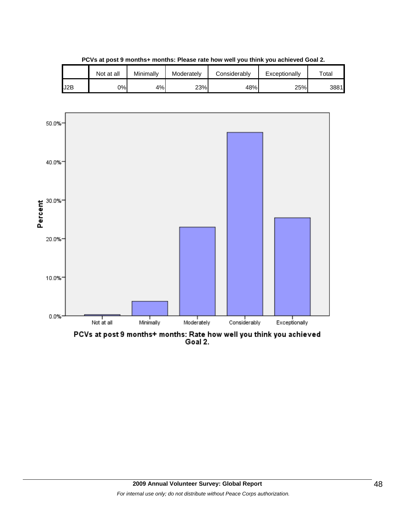

**PCVs at post 9 months+ months: Please rate how well you think you achieved Goal 2.**



PCVs at post 9 months+ months: Rate how well you think you achieved<br>Goal 2.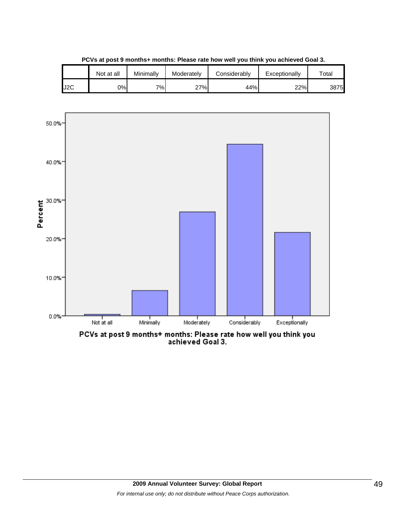

**PCVs at post 9 months+ months: Please rate how well you think you achieved Goal 3.**



PCVs at post 9 months+ months: Please rate how well you think you<br>achieved Goal 3.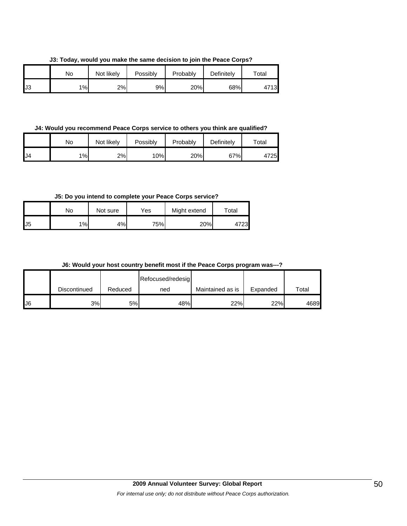**J3: Today, would you make the same decision to join the Peace Corps?**

|    | No    | Not likely | Possibly | Probably | Definitely | $\tau$ otal |
|----|-------|------------|----------|----------|------------|-------------|
| J3 | $1\%$ | 2%         | 9%       | 20%      | 68%        | 4713        |

**J4: Would you recommend Peace Corps service to others you think are qualified?**

|     | No | Not likely | Possibly | Probably | Definitely | $\tau$ otai |
|-----|----|------------|----------|----------|------------|-------------|
| IJ4 | 1% | 2%         | $10\%$   | 20%      | 67%        | 4725        |

**J5: Do you intend to complete your Peace Corps service?**

|     | No | Not sure | Yes | Might extend | Total |
|-----|----|----------|-----|--------------|-------|
| IJ5 | 1% | 4%       | 75% | 20%          | 23    |

**J6: Would your host country benefit most if the Peace Corps program was---?**

|     |              |         | Refocused/redesig |                  |          |       |
|-----|--------------|---------|-------------------|------------------|----------|-------|
|     | Discontinued | Reduced | ned               | Maintained as is | Expanded | Total |
| IJ6 | 3%           | 5%      | 48%               | 22%              | 22%      | 4689  |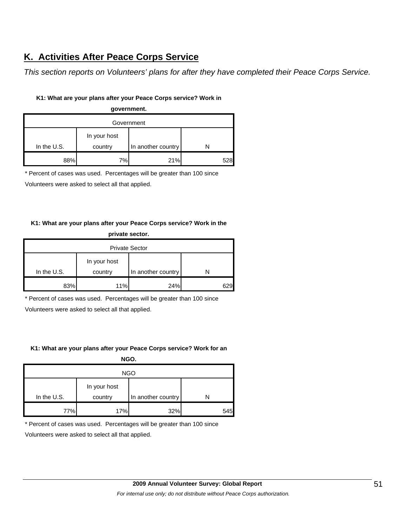# **K. Activities After Peace Corps Service**

*This section reports on Volunteers' plans for after they have completed their Peace Corps Service.* 

# **K1: What are your plans after your Peace Corps service? Work in**

| government.   |              |                    |     |  |
|---------------|--------------|--------------------|-----|--|
| Government    |              |                    |     |  |
|               | In your host |                    |     |  |
| In the $U.S.$ | country      | In another country |     |  |
| 88%           | 7%           | 21%                | 528 |  |

\* Percent of cases was used. Percentages will be greater than 100 since

Volunteers were asked to select all that applied.

# **K1: What are your plans after your Peace Corps service? Work in the private sector.**

| <b>Private Sector</b> |                         |                    |     |  |  |
|-----------------------|-------------------------|--------------------|-----|--|--|
| In the U.S.           | In your host<br>country | In another country |     |  |  |
| 83%                   | 11%                     | 24%                | 629 |  |  |

\* Percent of cases was used. Percentages will be greater than 100 since

Volunteers were asked to select all that applied.

## **K1: What are your plans after your Peace Corps service? Work for an**

| NGO. |
|------|
|------|

| <b>NGO</b>  |                         |                    |     |  |
|-------------|-------------------------|--------------------|-----|--|
| In the U.S. | In your host<br>country | In another country |     |  |
|             |                         |                    |     |  |
| 77%         | 17%                     | 32%                | 545 |  |

\* Percent of cases was used. Percentages will be greater than 100 since

Volunteers were asked to select all that applied.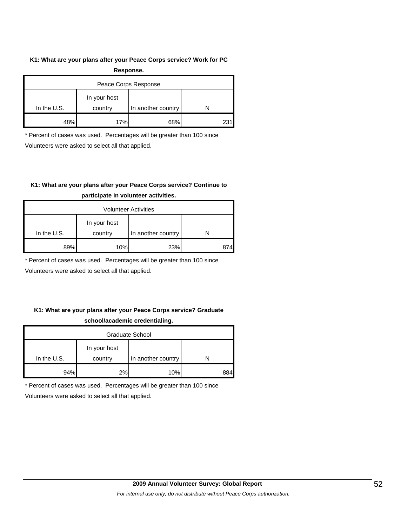#### **K1: What are your plans after your Peace Corps service? Work for PC**

| Response.            |              |                    |   |  |
|----------------------|--------------|--------------------|---|--|
| Peace Corps Response |              |                    |   |  |
|                      | In your host |                    |   |  |
| In the $U.S.$        | country      | In another country | N |  |
| 48%                  | 17%          | 68%                |   |  |

\* Percent of cases was used. Percentages will be greater than 100 since

Volunteers were asked to select all that applied.

# **K1: What are your plans after your Peace Corps service? Continue to**

| <b>Volunteer Activities</b> |                         |                    |  |  |
|-----------------------------|-------------------------|--------------------|--|--|
| In the $U.S.$               | In your host<br>country | In another country |  |  |
| 89%                         | 10%                     | 23%                |  |  |

# **participate in volunteer activities.**

\* Percent of cases was used. Percentages will be greater than 100 since

Volunteers were asked to select all that applied.

# **K1: What are your plans after your Peace Corps service? Graduate school/academic credentialing.**

| <b>Graduate School</b> |                         |                    |     |  |
|------------------------|-------------------------|--------------------|-----|--|
| In the $U.S.$          | In your host<br>country | In another country |     |  |
| 94%                    | 2%                      | 10%                | 384 |  |

\* Percent of cases was used. Percentages will be greater than 100 since

Volunteers were asked to select all that applied.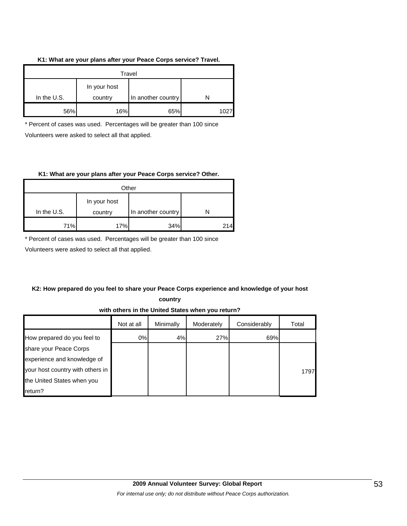#### **K1: What are your plans after your Peace Corps service? Travel.**

| Travel      |                         |                    |  |  |
|-------------|-------------------------|--------------------|--|--|
| In the U.S. | In your host<br>country | In another country |  |  |
| 56%         | 16%                     | 65%                |  |  |

\* Percent of cases was used. Percentages will be greater than 100 since Volunteers were asked to select all that applied.

### **K1: What are your plans after your Peace Corps service? Other.**

| Other       |                         |                    |      |
|-------------|-------------------------|--------------------|------|
| In the U.S. | In your host<br>country | In another country |      |
| 71%         | 17%                     | 34%                | 214. |

\* Percent of cases was used. Percentages will be greater than 100 since

Volunteers were asked to select all that applied.

# **K2: How prepared do you feel to share your Peace Corps experience and knowledge of your host**

**country** 

**with others in the United States when you return?**

|                                  | Not at all | Minimally | Moderately | Considerably | Total |
|----------------------------------|------------|-----------|------------|--------------|-------|
| How prepared do you feel to      | 0%         | 4%        | 27%        | 69%          |       |
| share your Peace Corps           |            |           |            |              |       |
| experience and knowledge of      |            |           |            |              |       |
| your host country with others in |            |           |            |              | 1797  |
| the United States when you       |            |           |            |              |       |
| return?                          |            |           |            |              |       |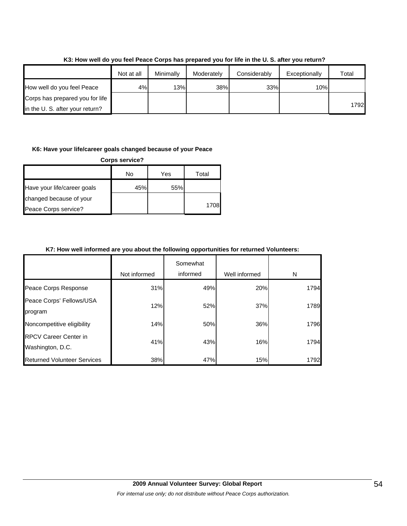|                                 | Not at all | Minimally | Moderately | Considerably | Exceptionally | Total |
|---------------------------------|------------|-----------|------------|--------------|---------------|-------|
| How well do you feel Peace      | 4%         | 13%       | 38%        | 33%          | 10%           |       |
| Corps has prepared you for life |            |           |            |              |               |       |
| in the U.S. after your return?  |            |           |            |              |               | 1792  |

## **K3: How well do you feel Peace Corps has prepared you for life in the U. S. after you return?**

### **K6: Have your life/career goals changed because of your Peace**

| <b>Corps service?</b>       |     |     |       |  |
|-----------------------------|-----|-----|-------|--|
|                             | No  | Yes | Total |  |
| Have your life/career goals | 45% | 55% |       |  |
| changed because of your     |     |     |       |  |
| Peace Corps service?        |     |     | 1708  |  |

### **K7: How well informed are you about the following opportunities for returned Volunteers:**

|                                                  | Not informed | Somewhat<br>informed | Well informed | N    |
|--------------------------------------------------|--------------|----------------------|---------------|------|
| Peace Corps Response                             | 31%          | 49%                  | 20%           | 1794 |
| Peace Corps' Fellows/USA<br>program              | 12%          | 52%                  | 37%           | 1789 |
| Noncompetitive eligibility                       | 14%          | 50%                  | 36%           | 1796 |
| <b>RPCV Career Center in</b><br>Washington, D.C. | 41%          | 43%                  | 16%           | 1794 |
| <b>Returned Volunteer Services</b>               | 38%          | 47%                  | 15%           | 1792 |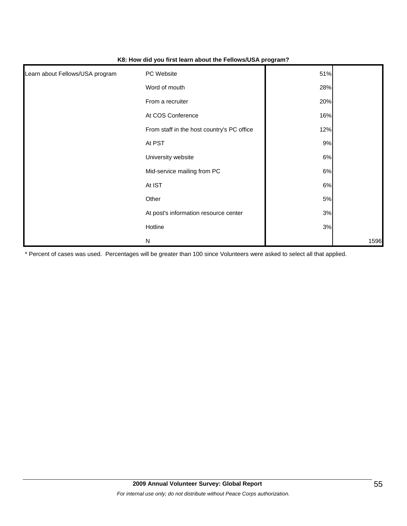| Learn about Fellows/USA program | PC Website                                 | 51% |      |
|---------------------------------|--------------------------------------------|-----|------|
|                                 | Word of mouth                              | 28% |      |
|                                 | From a recruiter                           | 20% |      |
|                                 | At COS Conference                          | 16% |      |
|                                 | From staff in the host country's PC office | 12% |      |
|                                 | At PST                                     | 9%  |      |
|                                 | University website                         | 6%  |      |
|                                 | Mid-service mailing from PC                | 6%  |      |
|                                 | At IST                                     | 6%  |      |
|                                 | Other                                      | 5%  |      |
|                                 | At post's information resource center      | 3%  |      |
|                                 | Hotline                                    | 3%  |      |
|                                 | N                                          |     | 1596 |

### **K8: How did you first learn about the Fellows/USA program?**

\* Percent of cases was used. Percentages will be greater than 100 since Volunteers were asked to select all that applied.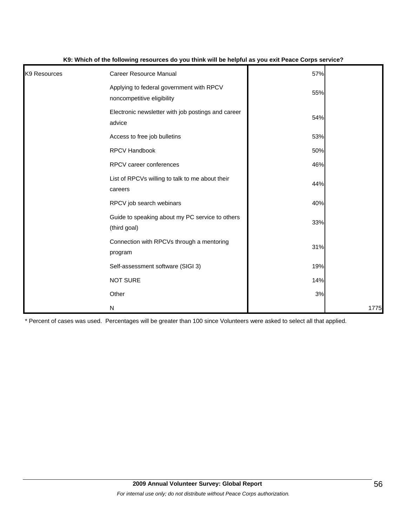| K <sub>9</sub> Resources | <b>Career Resource Manual</b>                                          | 57% |      |
|--------------------------|------------------------------------------------------------------------|-----|------|
|                          | Applying to federal government with RPCV<br>noncompetitive eligibility | 55% |      |
|                          | Electronic newsletter with job postings and career<br>advice           | 54% |      |
|                          | Access to free job bulletins                                           | 53% |      |
|                          | RPCV Handbook                                                          | 50% |      |
|                          | RPCV career conferences                                                | 46% |      |
|                          | List of RPCVs willing to talk to me about their<br>careers             | 44% |      |
|                          | RPCV job search webinars                                               | 40% |      |
|                          | Guide to speaking about my PC service to others<br>(third goal)        | 33% |      |
|                          | Connection with RPCVs through a mentoring<br>program                   | 31% |      |
|                          | Self-assessment software (SIGI 3)                                      | 19% |      |
|                          | <b>NOT SURE</b>                                                        | 14% |      |
|                          | Other                                                                  | 3%  |      |
|                          | ${\sf N}$                                                              |     | 1775 |

#### **K9: Which of the following resources do you think will be helpful as you exit Peace Corps service?**

\* Percent of cases was used. Percentages will be greater than 100 since Volunteers were asked to select all that applied.